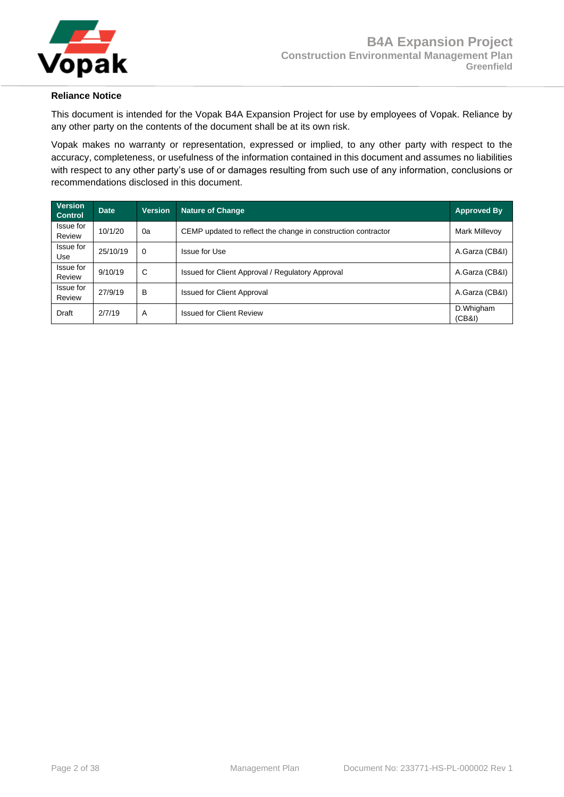

#### **Reliance Notice**

This document is intended for the Vopak B4A Expansion Project for use by employees of Vopak. Reliance by any other party on the contents of the document shall be at its own risk.

Vopak makes no warranty or representation, expressed or implied, to any other party with respect to the accuracy, completeness, or usefulness of the information contained in this document and assumes no liabilities with respect to any other party's use of or damages resulting from such use of any information, conclusions or recommendations disclosed in this document.

| <b>Version</b><br><b>Control</b> | <b>Date</b> | <b>Version</b> | <b>Nature of Change</b>                                       | <b>Approved By</b>   |
|----------------------------------|-------------|----------------|---------------------------------------------------------------|----------------------|
| Issue for<br>Review              | 10/1/20     | 0a             | CEMP updated to reflect the change in construction contractor | <b>Mark Millevoy</b> |
| Issue for<br>Use                 | 25/10/19    | $\Omega$       | Issue for Use                                                 | A.Garza (CB&I)       |
| Issue for<br>Review              | 9/10/19     | C              | Issued for Client Approval / Regulatory Approval              | A.Garza (CB&I)       |
| Issue for<br>Review              | 27/9/19     | В              | <b>Issued for Client Approval</b>                             | A.Garza (CB&I)       |
| Draft                            | 2/7/19      | A              | <b>Issued for Client Review</b>                               | D.Whigham<br>(CB&I)  |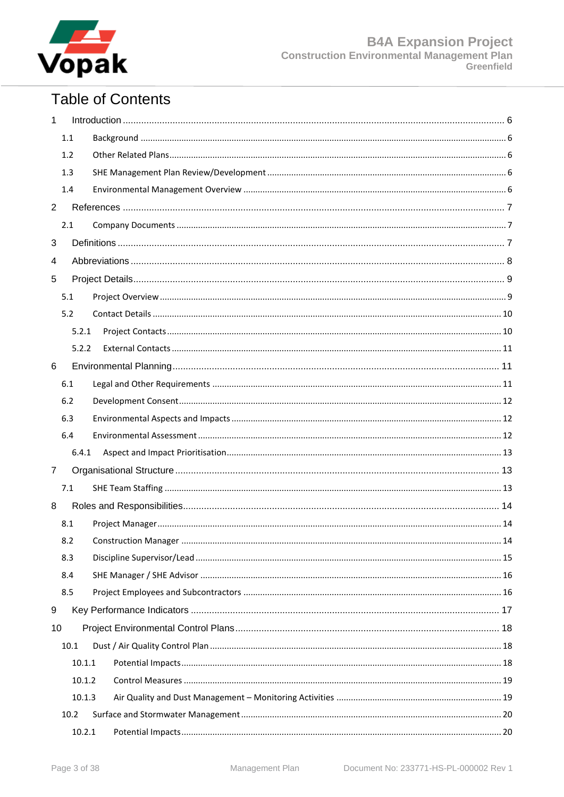

# **Table of Contents**

| 1              |        |  |  |  |  |
|----------------|--------|--|--|--|--|
|                | 1.1    |  |  |  |  |
|                | 1.2    |  |  |  |  |
|                | 1.3    |  |  |  |  |
|                | 1.4    |  |  |  |  |
| $\overline{2}$ |        |  |  |  |  |
|                | 2.1    |  |  |  |  |
| 3              |        |  |  |  |  |
| 4              |        |  |  |  |  |
| 5              |        |  |  |  |  |
|                | 5.1    |  |  |  |  |
|                | 5.2    |  |  |  |  |
|                | 5.2.1  |  |  |  |  |
|                | 5.2.2  |  |  |  |  |
| 6              |        |  |  |  |  |
|                | 6.1    |  |  |  |  |
|                | 6.2    |  |  |  |  |
|                | 6.3    |  |  |  |  |
|                | 6.4    |  |  |  |  |
|                | 6.4.1  |  |  |  |  |
| $\overline{7}$ |        |  |  |  |  |
|                | 7.1    |  |  |  |  |
| 8              |        |  |  |  |  |
|                | 8.1    |  |  |  |  |
|                | 8.2    |  |  |  |  |
|                | 8.3    |  |  |  |  |
|                | 8.4    |  |  |  |  |
|                | 8.5    |  |  |  |  |
| 9              |        |  |  |  |  |
| 10             |        |  |  |  |  |
|                | 10.1   |  |  |  |  |
|                | 10.1.1 |  |  |  |  |
|                | 10.1.2 |  |  |  |  |
|                | 10.1.3 |  |  |  |  |
|                | 10.2   |  |  |  |  |
|                | 10.2.1 |  |  |  |  |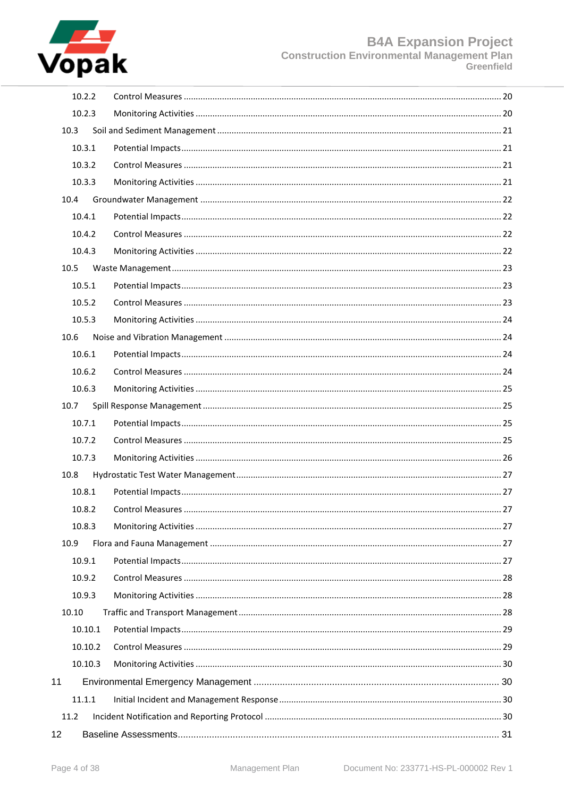

|    | 10.2.2  |  |
|----|---------|--|
|    | 10.2.3  |  |
|    | 10.3    |  |
|    | 10.3.1  |  |
|    | 10.3.2  |  |
|    | 10.3.3  |  |
|    | 10.4    |  |
|    | 10.4.1  |  |
|    | 10.4.2  |  |
|    | 10.4.3  |  |
|    | 10.5    |  |
|    | 10.5.1  |  |
|    | 10.5.2  |  |
|    | 10.5.3  |  |
|    | 10.6    |  |
|    | 10.6.1  |  |
|    | 10.6.2  |  |
|    | 10.6.3  |  |
|    | 10.7    |  |
|    | 10.7.1  |  |
|    | 10.7.2  |  |
|    | 10.7.3  |  |
|    | 10.8    |  |
|    | 10.8.1  |  |
|    | 10.8.2  |  |
|    | 10.8.3  |  |
|    | 10.9    |  |
|    | 10.9.1  |  |
|    | 10.9.2  |  |
|    | 10.9.3  |  |
|    | 10.10   |  |
|    | 10.10.1 |  |
|    | 10.10.2 |  |
|    | 10.10.3 |  |
| 11 |         |  |
|    | 11.1.1  |  |
|    | 11.2    |  |
| 12 |         |  |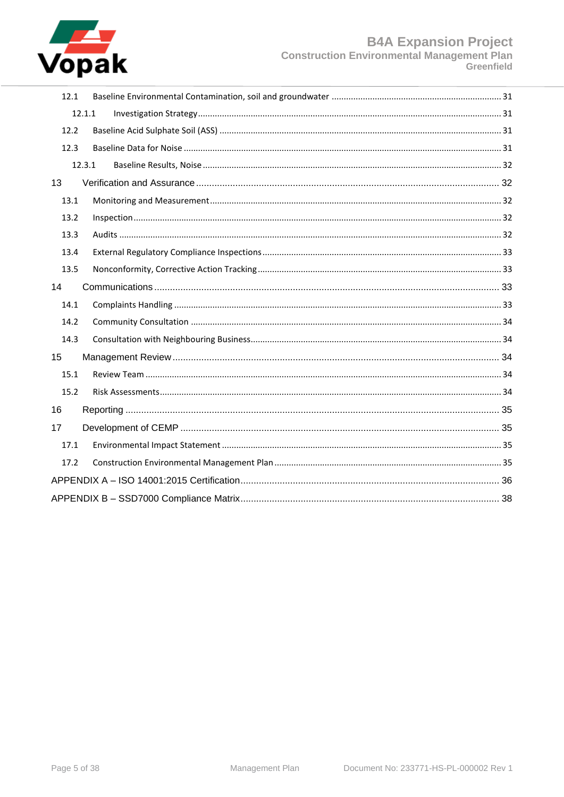

| 12.1   |  |
|--------|--|
| 12.1.1 |  |
| 12.2   |  |
| 12.3   |  |
| 12.3.1 |  |
| 13     |  |
| 13.1   |  |
| 13.2   |  |
| 13.3   |  |
| 13.4   |  |
| 13.5   |  |
| 14     |  |
| 14.1   |  |
| 14.2   |  |
| 14.3   |  |
| 15     |  |
| 15.1   |  |
| 15.2   |  |
| 16     |  |
| 17     |  |
| 17.1   |  |
| 17.2   |  |
|        |  |
|        |  |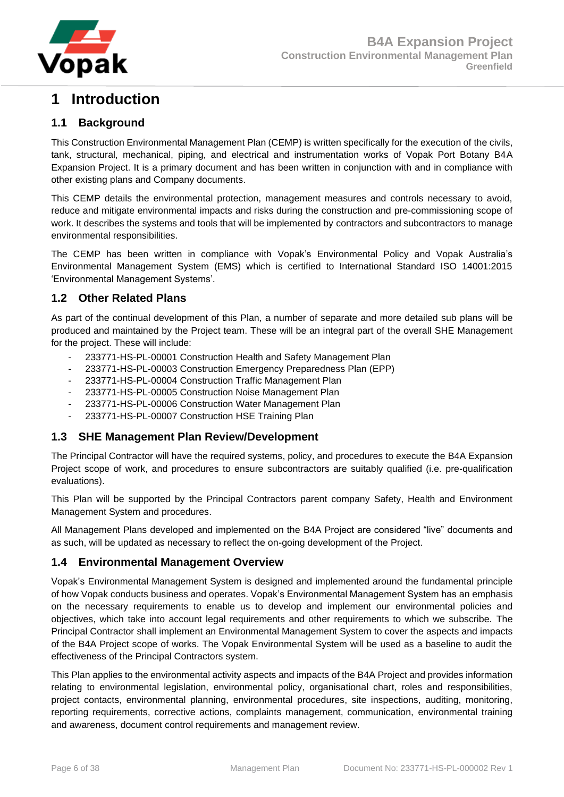

# <span id="page-5-0"></span>**1 Introduction**

## <span id="page-5-1"></span>**1.1 Background**

This Construction Environmental Management Plan (CEMP) is written specifically for the execution of the civils, tank, structural, mechanical, piping, and electrical and instrumentation works of Vopak Port Botany B4A Expansion Project. It is a primary document and has been written in conjunction with and in compliance with other existing plans and Company documents.

This CEMP details the environmental protection, management measures and controls necessary to avoid, reduce and mitigate environmental impacts and risks during the construction and pre-commissioning scope of work. It describes the systems and tools that will be implemented by contractors and subcontractors to manage environmental responsibilities.

The CEMP has been written in compliance with Vopak's Environmental Policy and Vopak Australia's Environmental Management System (EMS) which is certified to International Standard ISO 14001:2015 'Environmental Management Systems'.

## <span id="page-5-2"></span>**1.2 Other Related Plans**

As part of the continual development of this Plan, a number of separate and more detailed sub plans will be produced and maintained by the Project team. These will be an integral part of the overall SHE Management for the project. These will include:

- 233771-HS-PL-00001 Construction Health and Safety Management Plan
- 233771-HS-PL-00003 Construction Emergency Preparedness Plan (EPP)
- 233771-HS-PL-00004 Construction Traffic Management Plan
- 233771-HS-PL-00005 Construction Noise Management Plan
- 233771-HS-PL-00006 Construction Water Management Plan
- 233771-HS-PL-00007 Construction HSE Training Plan

## <span id="page-5-3"></span>**1.3 SHE Management Plan Review/Development**

The Principal Contractor will have the required systems, policy, and procedures to execute the B4A Expansion Project scope of work, and procedures to ensure subcontractors are suitably qualified (i.e. pre-qualification evaluations).

This Plan will be supported by the Principal Contractors parent company Safety, Health and Environment Management System and procedures.

All Management Plans developed and implemented on the B4A Project are considered "live" documents and as such, will be updated as necessary to reflect the on-going development of the Project.

## <span id="page-5-4"></span>**1.4 Environmental Management Overview**

Vopak's Environmental Management System is designed and implemented around the fundamental principle of how Vopak conducts business and operates. Vopak's Environmental Management System has an emphasis on the necessary requirements to enable us to develop and implement our environmental policies and objectives, which take into account legal requirements and other requirements to which we subscribe. The Principal Contractor shall implement an Environmental Management System to cover the aspects and impacts of the B4A Project scope of works. The Vopak Environmental System will be used as a baseline to audit the effectiveness of the Principal Contractors system.

This Plan applies to the environmental activity aspects and impacts of the B4A Project and provides information relating to environmental legislation, environmental policy, organisational chart, roles and responsibilities, project contacts, environmental planning, environmental procedures, site inspections, auditing, monitoring, reporting requirements, corrective actions, complaints management, communication, environmental training and awareness, document control requirements and management review.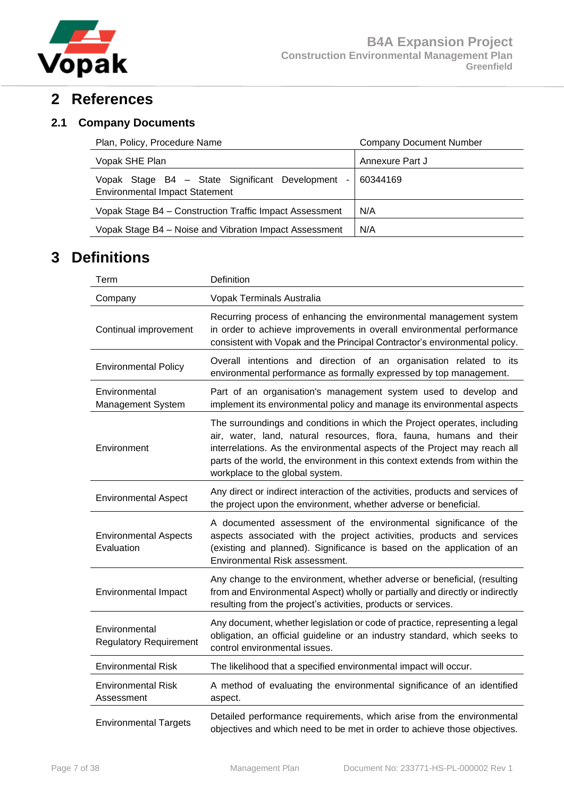

## <span id="page-6-0"></span>**2 References**

## <span id="page-6-1"></span>**2.1 Company Documents**

| Plan, Policy, Procedure Name                                                                              | <b>Company Document Number</b> |
|-----------------------------------------------------------------------------------------------------------|--------------------------------|
| Vopak SHE Plan                                                                                            | Annexure Part J                |
| Vopak Stage B4 - State Significant Development<br>$\blacksquare$<br><b>Environmental Impact Statement</b> | 60344169                       |
| Vopak Stage B4 - Construction Traffic Impact Assessment                                                   | N/A                            |
| Vopak Stage B4 – Noise and Vibration Impact Assessment                                                    | N/A                            |
|                                                                                                           |                                |

# <span id="page-6-2"></span>**3 Definitions**

| Term                                           | Definition                                                                                                                                                                                                                                                                                                                                     |  |  |  |
|------------------------------------------------|------------------------------------------------------------------------------------------------------------------------------------------------------------------------------------------------------------------------------------------------------------------------------------------------------------------------------------------------|--|--|--|
| Company                                        | Vopak Terminals Australia                                                                                                                                                                                                                                                                                                                      |  |  |  |
| Continual improvement                          | Recurring process of enhancing the environmental management system<br>in order to achieve improvements in overall environmental performance<br>consistent with Vopak and the Principal Contractor's environmental policy.                                                                                                                      |  |  |  |
| <b>Environmental Policy</b>                    | Overall intentions and direction of an organisation related to its<br>environmental performance as formally expressed by top management.                                                                                                                                                                                                       |  |  |  |
| Environmental<br>Management System             | Part of an organisation's management system used to develop and<br>implement its environmental policy and manage its environmental aspects                                                                                                                                                                                                     |  |  |  |
| Environment                                    | The surroundings and conditions in which the Project operates, including<br>air, water, land, natural resources, flora, fauna, humans and their<br>interrelations. As the environmental aspects of the Project may reach all<br>parts of the world, the environment in this context extends from within the<br>workplace to the global system. |  |  |  |
| <b>Environmental Aspect</b>                    | Any direct or indirect interaction of the activities, products and services of<br>the project upon the environment, whether adverse or beneficial.                                                                                                                                                                                             |  |  |  |
| <b>Environmental Aspects</b><br>Evaluation     | A documented assessment of the environmental significance of the<br>aspects associated with the project activities, products and services<br>(existing and planned). Significance is based on the application of an<br>Environmental Risk assessment.                                                                                          |  |  |  |
| <b>Environmental Impact</b>                    | Any change to the environment, whether adverse or beneficial, (resulting<br>from and Environmental Aspect) wholly or partially and directly or indirectly<br>resulting from the project's activities, products or services.                                                                                                                    |  |  |  |
| Environmental<br><b>Regulatory Requirement</b> | Any document, whether legislation or code of practice, representing a legal<br>obligation, an official guideline or an industry standard, which seeks to<br>control environmental issues.                                                                                                                                                      |  |  |  |
| <b>Environmental Risk</b>                      | The likelihood that a specified environmental impact will occur.                                                                                                                                                                                                                                                                               |  |  |  |
| <b>Environmental Risk</b><br>Assessment        | A method of evaluating the environmental significance of an identified<br>aspect.                                                                                                                                                                                                                                                              |  |  |  |
| <b>Environmental Targets</b>                   | Detailed performance requirements, which arise from the environmental<br>objectives and which need to be met in order to achieve those objectives.                                                                                                                                                                                             |  |  |  |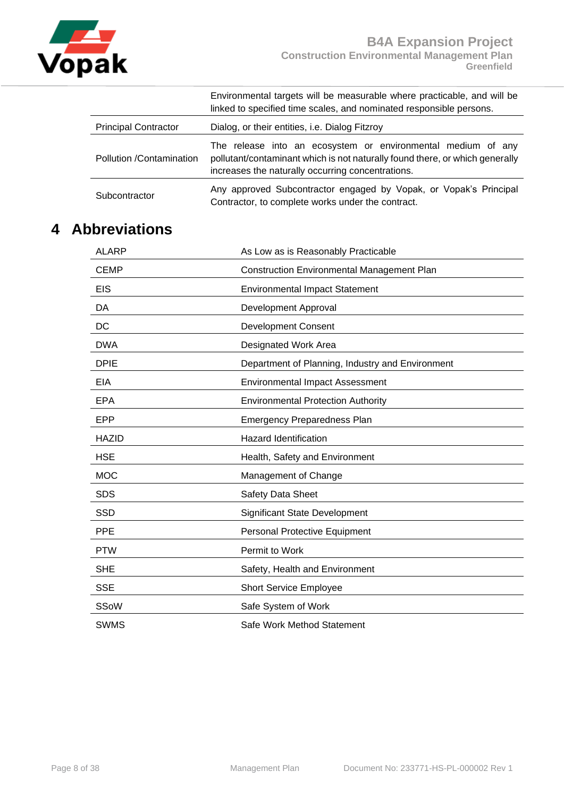

|                             | Environmental targets will be measurable where practicable, and will be<br>linked to specified time scales, and nominated responsible persons.                                                    |
|-----------------------------|---------------------------------------------------------------------------------------------------------------------------------------------------------------------------------------------------|
| <b>Principal Contractor</b> | Dialog, or their entities, i.e. Dialog Fitzroy                                                                                                                                                    |
| Pollution /Contamination    | The release into an ecosystem or environmental medium of any<br>pollutant/contaminant which is not naturally found there, or which generally<br>increases the naturally occurring concentrations. |
| Subcontractor               | Any approved Subcontractor engaged by Vopak, or Vopak's Principal<br>Contractor, to complete works under the contract.                                                                            |

# <span id="page-7-0"></span>**4 Abbreviations**

| <b>ALARP</b> | As Low as is Reasonably Practicable              |  |  |
|--------------|--------------------------------------------------|--|--|
| <b>CEMP</b>  | Construction Environmental Management Plan       |  |  |
| <b>EIS</b>   | <b>Environmental Impact Statement</b>            |  |  |
| DA           | Development Approval                             |  |  |
| DC           | <b>Development Consent</b>                       |  |  |
| <b>DWA</b>   | Designated Work Area                             |  |  |
| <b>DPIE</b>  | Department of Planning, Industry and Environment |  |  |
| <b>EIA</b>   | <b>Environmental Impact Assessment</b>           |  |  |
| <b>EPA</b>   | <b>Environmental Protection Authority</b>        |  |  |
| <b>EPP</b>   | Emergency Preparedness Plan                      |  |  |
| <b>HAZID</b> | <b>Hazard Identification</b>                     |  |  |
| <b>HSE</b>   | Health, Safety and Environment                   |  |  |
| <b>MOC</b>   | Management of Change                             |  |  |
| <b>SDS</b>   | Safety Data Sheet                                |  |  |
| <b>SSD</b>   | <b>Significant State Development</b>             |  |  |
| <b>PPE</b>   | Personal Protective Equipment                    |  |  |
| <b>PTW</b>   | Permit to Work                                   |  |  |
| <b>SHE</b>   | Safety, Health and Environment                   |  |  |
| <b>SSE</b>   | Short Service Employee                           |  |  |
| SSoW         | Safe System of Work                              |  |  |
| <b>SWMS</b>  | Safe Work Method Statement                       |  |  |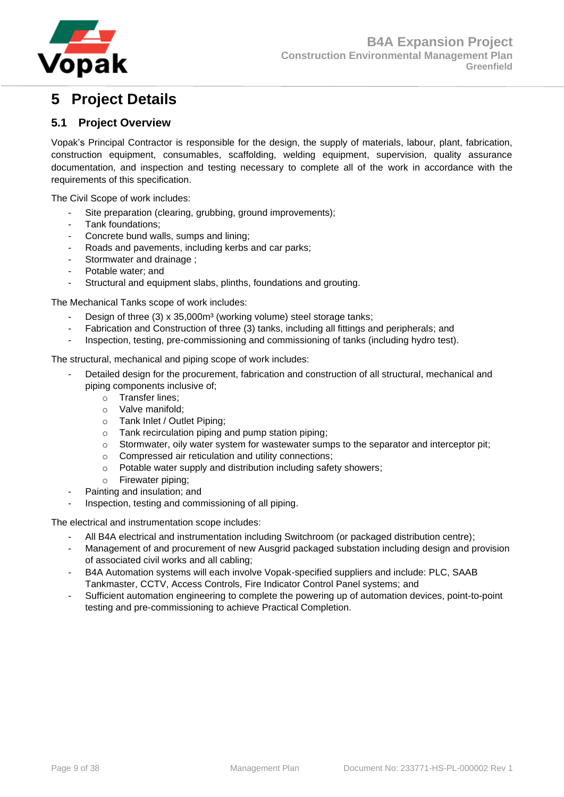

# <span id="page-8-0"></span>**5 Project Details**

## <span id="page-8-1"></span>**5.1 Project Overview**

Vopak's Principal Contractor is responsible for the design, the supply of materials, labour, plant, fabrication, construction equipment, consumables, scaffolding, welding equipment, supervision, quality assurance documentation, and inspection and testing necessary to complete all of the work in accordance with the requirements of this specification.

The Civil Scope of work includes:

- Site preparation (clearing, grubbing, ground improvements);
- Tank foundations;
- Concrete bund walls, sumps and lining;
- Roads and pavements, including kerbs and car parks;
- Stormwater and drainage;
- Potable water; and
- Structural and equipment slabs, plinths, foundations and grouting.

The Mechanical Tanks scope of work includes:

- Design of three (3) x 35,000m<sup>3</sup> (working volume) steel storage tanks;
- Fabrication and Construction of three (3) tanks, including all fittings and peripherals; and
- Inspection, testing, pre-commissioning and commissioning of tanks (including hydro test).

The structural, mechanical and piping scope of work includes:

- Detailed design for the procurement, fabrication and construction of all structural, mechanical and piping components inclusive of;
	- o Transfer lines;
	- o Valve manifold;
	- o Tank Inlet / Outlet Piping;
	- $\circ$  Tank recirculation piping and pump station piping:
	- o Stormwater, oily water system for wastewater sumps to the separator and interceptor pit;
	- o Compressed air reticulation and utility connections;
	- o Potable water supply and distribution including safety showers;
	- o Firewater piping;
	- Painting and insulation; and
- Inspection, testing and commissioning of all piping.

The electrical and instrumentation scope includes:

- All B4A electrical and instrumentation including Switchroom (or packaged distribution centre);
- Management of and procurement of new Ausgrid packaged substation including design and provision of associated civil works and all cabling;
- B4A Automation systems will each involve Vopak-specified suppliers and include: PLC, SAAB Tankmaster, CCTV, Access Controls, Fire Indicator Control Panel systems; and
- Sufficient automation engineering to complete the powering up of automation devices, point-to-point testing and pre-commissioning to achieve Practical Completion.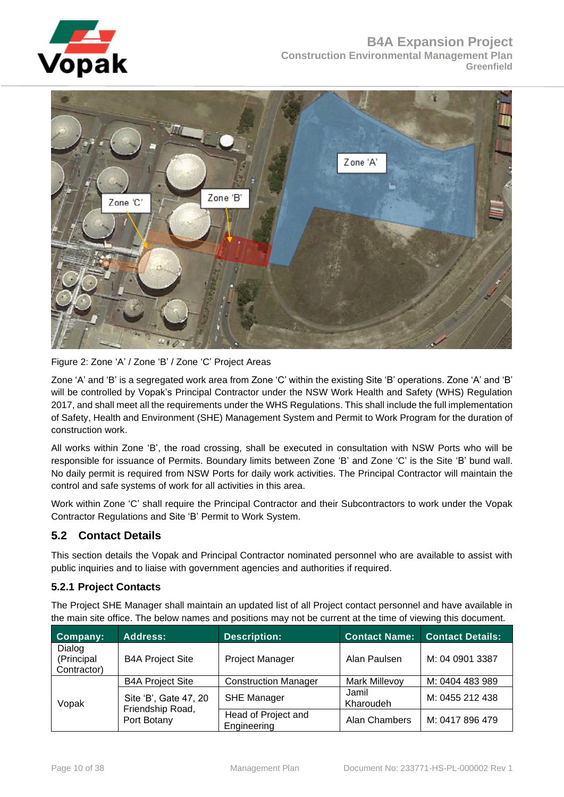



Figure 2: Zone 'A' / Zone 'B' / Zone 'C' Project Areas

Zone 'A' and 'B' is a segregated work area from Zone 'C' within the existing Site 'B' operations. Zone 'A' and 'B' will be controlled by Vopak's Principal Contractor under the NSW Work Health and Safety (WHS) Regulation 2017, and shall meet all the requirements under the WHS Regulations. This shall include the full implementation of Safety, Health and Environment (SHE) Management System and Permit to Work Program for the duration of construction work.

All works within Zone 'B', the road crossing, shall be executed in consultation with NSW Ports who will be responsible for issuance of Permits. Boundary limits between Zone 'B' and Zone 'C' is the Site 'B' bund wall. No daily permit is required from NSW Ports for daily work activities. The Principal Contractor will maintain the control and safe systems of work for all activities in this area.

Work within Zone 'C' shall require the Principal Contractor and their Subcontractors to work under the Vopak Contractor Regulations and Site 'B' Permit to Work System.

## <span id="page-9-0"></span>**5.2 Contact Details**

This section details the Vopak and Principal Contractor nominated personnel who are available to assist with public inquiries and to liaise with government agencies and authorities if required.

## <span id="page-9-1"></span>**5.2.1 Project Contacts**

The Project SHE Manager shall maintain an updated list of all Project contact personnel and have available in the main site office. The below names and positions may not be current at the time of viewing this document.

| Company:                            | <b>Address:</b>                 | <b>Description:</b>                | <b>Contact Name:</b> | <b>Contact Details:</b> |
|-------------------------------------|---------------------------------|------------------------------------|----------------------|-------------------------|
| Dialog<br>(Principal<br>Contractor) | <b>B4A Project Site</b>         | Project Manager                    | Alan Paulsen         | M: 04 0901 3387         |
|                                     | <b>B4A Project Site</b>         | <b>Construction Manager</b>        | <b>Mark Millevoy</b> | M: 0404 483 989         |
| Vopak                               | Site 'B', Gate 47, 20           | <b>SHE Manager</b>                 | Jamil<br>Kharoudeh   | M: 0455 212 438         |
|                                     | Friendship Road,<br>Port Botany | Head of Project and<br>Engineering | Alan Chambers        | M: 0417 896 479         |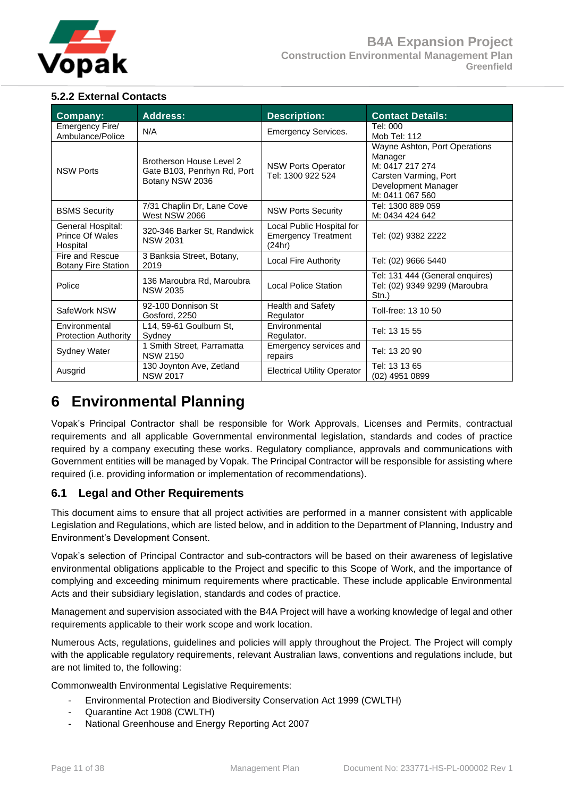

## <span id="page-10-0"></span>**5.2.2 External Contacts**

| Company:                                         | <b>Address:</b>                                                            | <b>Description:</b>                                                                                                                                                              | <b>Contact Details:</b>                                                   |
|--------------------------------------------------|----------------------------------------------------------------------------|----------------------------------------------------------------------------------------------------------------------------------------------------------------------------------|---------------------------------------------------------------------------|
| Emergency Fire/<br>Ambulance/Police              | N/A                                                                        | <b>Emergency Services.</b>                                                                                                                                                       | Tel: 000<br>Mob Tel: 112                                                  |
| <b>NSW Ports</b>                                 | Brotherson House Level 2<br>Gate B103, Penrhyn Rd, Port<br>Botany NSW 2036 | Wayne Ashton, Port Operations<br>Manager<br>M: 0417 217 274<br><b>NSW Ports Operator</b><br>Tel: 1300 922 524<br>Carsten Varming, Port<br>Development Manager<br>M: 0411 067 560 |                                                                           |
| <b>BSMS Security</b>                             | 7/31 Chaplin Dr, Lane Cove<br>West NSW 2066                                | <b>NSW Ports Security</b>                                                                                                                                                        | Tel: 1300 889 059<br>M: 0434 424 642                                      |
| General Hospital:<br>Prince Of Wales<br>Hospital | 320-346 Barker St, Randwick<br><b>NSW 2031</b>                             | Local Public Hospital for<br><b>Emergency Treatment</b><br>(24hr)                                                                                                                | Tel: (02) 9382 2222                                                       |
| Fire and Rescue<br><b>Botany Fire Station</b>    | 3 Banksia Street, Botany,<br>2019                                          | Local Fire Authority                                                                                                                                                             | Tel: (02) 9666 5440                                                       |
| Police                                           | 136 Maroubra Rd, Maroubra<br><b>NSW 2035</b>                               | <b>Local Police Station</b>                                                                                                                                                      | Tel: 131 444 (General enquires)<br>Tel: (02) 9349 9299 (Maroubra<br>Stn.) |
| SafeWork NSW                                     | 92-100 Donnison St<br>Gosford, 2250                                        | <b>Health and Safety</b><br>Regulator                                                                                                                                            | Toll-free: 13 10 50                                                       |
| Environmental<br><b>Protection Authority</b>     | L14, 59-61 Goulburn St,<br>Sydney                                          | Environmental<br>Regulator.                                                                                                                                                      | Tel: 13 15 55                                                             |
| Sydney Water                                     | 1 Smith Street, Parramatta<br><b>NSW 2150</b>                              | Emergency services and<br>repairs                                                                                                                                                | Tel: 13 20 90                                                             |
| Ausgrid                                          | 130 Joynton Ave, Zetland<br><b>NSW 2017</b>                                | <b>Electrical Utility Operator</b>                                                                                                                                               | Tel: 13 13 65<br>(02) 4951 0899                                           |

# <span id="page-10-1"></span>**6 Environmental Planning**

Vopak's Principal Contractor shall be responsible for Work Approvals, Licenses and Permits, contractual requirements and all applicable Governmental environmental legislation, standards and codes of practice required by a company executing these works. Regulatory compliance, approvals and communications with Government entities will be managed by Vopak. The Principal Contractor will be responsible for assisting where required (i.e. providing information or implementation of recommendations).

## <span id="page-10-2"></span>**6.1 Legal and Other Requirements**

This document aims to ensure that all project activities are performed in a manner consistent with applicable Legislation and Regulations, which are listed below, and in addition to the Department of Planning, Industry and Environment's Development Consent.

Vopak's selection of Principal Contractor and sub-contractors will be based on their awareness of legislative environmental obligations applicable to the Project and specific to this Scope of Work, and the importance of complying and exceeding minimum requirements where practicable. These include applicable Environmental Acts and their subsidiary legislation, standards and codes of practice.

Management and supervision associated with the B4A Project will have a working knowledge of legal and other requirements applicable to their work scope and work location.

Numerous Acts, regulations, guidelines and policies will apply throughout the Project. The Project will comply with the applicable regulatory requirements, relevant Australian laws, conventions and regulations include, but are not limited to, the following:

Commonwealth Environmental Legislative Requirements:

- Environmental Protection and Biodiversity Conservation Act 1999 (CWLTH)
- Quarantine Act 1908 (CWLTH)
- National Greenhouse and Energy Reporting Act 2007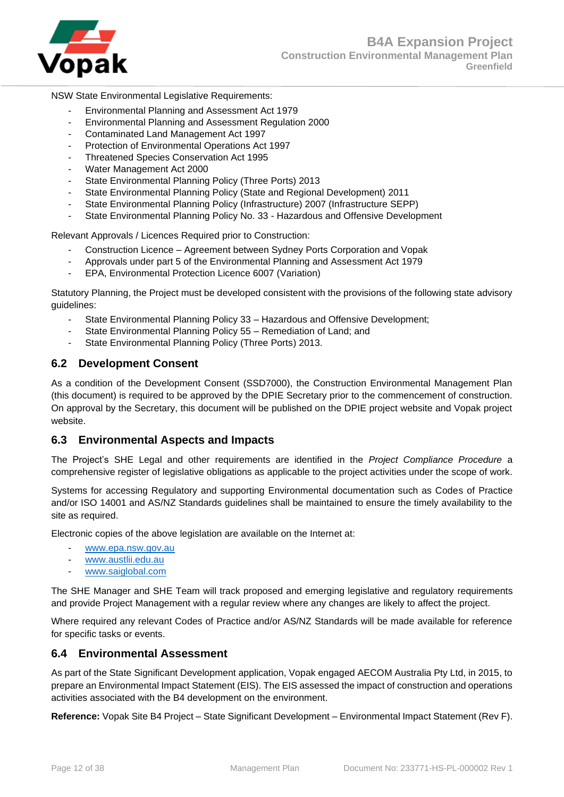

#### NSW State Environmental Legislative Requirements:

- Environmental Planning and Assessment Act 1979
- Environmental Planning and Assessment Regulation 2000
- Contaminated Land Management Act 1997
- Protection of Environmental Operations Act 1997
- Threatened Species Conservation Act 1995
- Water Management Act 2000
- State Environmental Planning Policy (Three Ports) 2013
- State Environmental Planning Policy (State and Regional Development) 2011
- State Environmental Planning Policy (Infrastructure) 2007 (Infrastructure SEPP)
- State Environmental Planning Policy No. 33 Hazardous and Offensive Development

Relevant Approvals / Licences Required prior to Construction:

- Construction Licence Agreement between Sydney Ports Corporation and Vopak
- Approvals under part 5 of the Environmental Planning and Assessment Act 1979
- EPA, Environmental Protection Licence 6007 (Variation)

Statutory Planning, the Project must be developed consistent with the provisions of the following state advisory guidelines:

- State Environmental Planning Policy 33 Hazardous and Offensive Development;
- State Environmental Planning Policy 55 Remediation of Land; and
- State Environmental Planning Policy (Three Ports) 2013.

#### <span id="page-11-0"></span>**6.2 Development Consent**

As a condition of the Development Consent (SSD7000), the Construction Environmental Management Plan (this document) is required to be approved by the DPIE Secretary prior to the commencement of construction. On approval by the Secretary, this document will be published on the DPIE project website and Vopak project website.

#### <span id="page-11-1"></span>**6.3 Environmental Aspects and Impacts**

The Project's SHE Legal and other requirements are identified in the *Project Compliance Procedure* a comprehensive register of legislative obligations as applicable to the project activities under the scope of work.

Systems for accessing Regulatory and supporting Environmental documentation such as Codes of Practice and/or ISO 14001 and AS/NZ Standards guidelines shall be maintained to ensure the timely availability to the site as required.

Electronic copies of the above legislation are available on the Internet at:

- [www.epa.nsw.gov.au](http://www.epa.nsw.gov.au/)
- [www.austlii.edu.au](http://www.austlii.edu.au/)
- [www.saiglobal.com](http://www.saiglobal.com/)

The SHE Manager and SHE Team will track proposed and emerging legislative and regulatory requirements and provide Project Management with a regular review where any changes are likely to affect the project.

Where required any relevant Codes of Practice and/or AS/NZ Standards will be made available for reference for specific tasks or events.

#### <span id="page-11-2"></span>**6.4 Environmental Assessment**

As part of the State Significant Development application, Vopak engaged AECOM Australia Pty Ltd, in 2015, to prepare an Environmental Impact Statement (EIS). The EIS assessed the impact of construction and operations activities associated with the B4 development on the environment.

**Reference:** Vopak Site B4 Project – State Significant Development – Environmental Impact Statement (Rev F).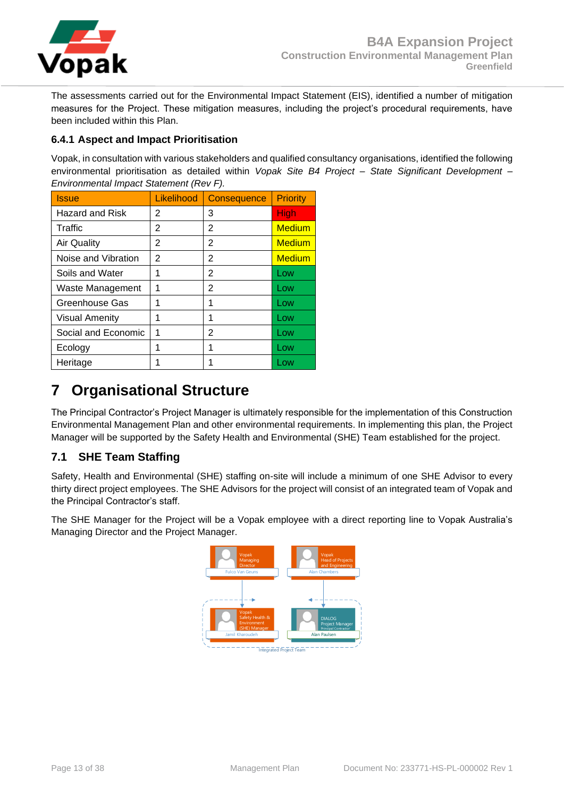

The assessments carried out for the Environmental Impact Statement (EIS), identified a number of mitigation measures for the Project. These mitigation measures, including the project's procedural requirements, have been included within this Plan.

## <span id="page-12-0"></span>**6.4.1 Aspect and Impact Prioritisation**

Vopak, in consultation with various stakeholders and qualified consultancy organisations, identified the following environmental prioritisation as detailed within *Vopak Site B4 Project – State Significant Development – Environmental Impact Statement (Rev F).*

| <b>Issue</b>           | Likelihood | <b>Consequence</b> | <b>Priority</b> |
|------------------------|------------|--------------------|-----------------|
| <b>Hazard and Risk</b> | 2          | 3                  | <b>High</b>     |
| Traffic                | 2          | 2                  | <b>Medium</b>   |
| <b>Air Quality</b>     | 2          | 2                  | <b>Medium</b>   |
| Noise and Vibration    | 2          | 2                  | <b>Medium</b>   |
| Soils and Water        | 1          | 2                  | Low             |
| Waste Management       | 1          | 2                  | Low             |
| Greenhouse Gas         | 1          | 1                  | Low             |
| <b>Visual Amenity</b>  | 1          | 1                  | Low             |
| Social and Economic    | 1          | 2                  | Low             |
| Ecology                |            | 1                  | Low             |
| Heritage               |            |                    | Low             |

# <span id="page-12-1"></span>**7 Organisational Structure**

The Principal Contractor's Project Manager is ultimately responsible for the implementation of this Construction Environmental Management Plan and other environmental requirements. In implementing this plan, the Project Manager will be supported by the Safety Health and Environmental (SHE) Team established for the project.

## <span id="page-12-2"></span>**7.1 SHE Team Staffing**

Safety, Health and Environmental (SHE) staffing on-site will include a minimum of one SHE Advisor to every thirty direct project employees. The SHE Advisors for the project will consist of an integrated team of Vopak and the Principal Contractor's staff.

The SHE Manager for the Project will be a Vopak employee with a direct reporting line to Vopak Australia's Managing Director and the Project Manager.

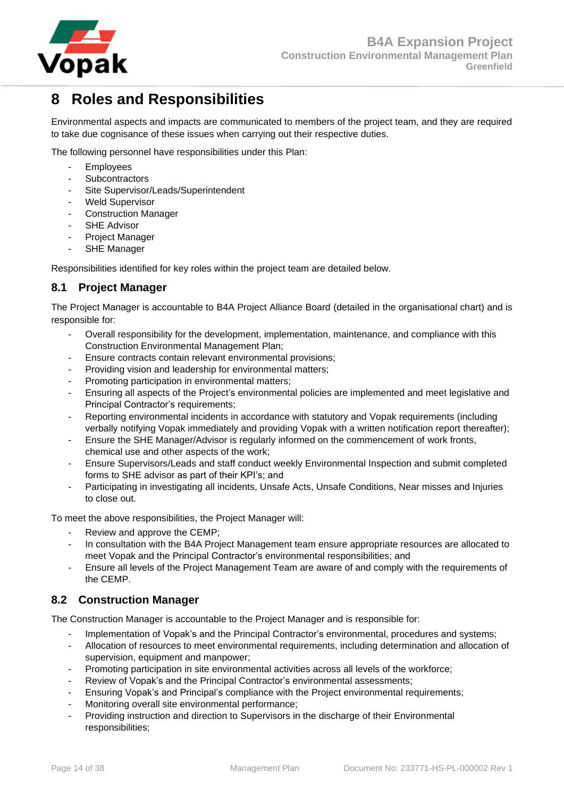

# <span id="page-13-0"></span>**8 Roles and Responsibilities**

Environmental aspects and impacts are communicated to members of the project team, and they are required to take due cognisance of these issues when carrying out their respective duties.

The following personnel have responsibilities under this Plan:

- Employees
- **Subcontractors**
- Site Supervisor/Leads/Superintendent
- Weld Supervisor
- Construction Manager
- SHE Advisor
- Project Manager
- SHE Manager

Responsibilities identified for key roles within the project team are detailed below.

## <span id="page-13-1"></span>**8.1 Project Manager**

The Project Manager is accountable to B4A Project Alliance Board (detailed in the organisational chart) and is responsible for:

- Overall responsibility for the development, implementation, maintenance, and compliance with this Construction Environmental Management Plan;
- Ensure contracts contain relevant environmental provisions;
- Providing vision and leadership for environmental matters;
- Promoting participation in environmental matters;
- Ensuring all aspects of the Project's environmental policies are implemented and meet legislative and Principal Contractor's requirements;
- Reporting environmental incidents in accordance with statutory and Vopak requirements (including verbally notifying Vopak immediately and providing Vopak with a written notification report thereafter);
- Ensure the SHE Manager/Advisor is regularly informed on the commencement of work fronts, chemical use and other aspects of the work;
- Ensure Supervisors/Leads and staff conduct weekly Environmental Inspection and submit completed forms to SHE advisor as part of their KPI's; and
- Participating in investigating all incidents, Unsafe Acts, Unsafe Conditions, Near misses and Injuries to close out.

To meet the above responsibilities, the Project Manager will:

- Review and approve the CEMP;
- In consultation with the B4A Project Management team ensure appropriate resources are allocated to meet Vopak and the Principal Contractor's environmental responsibilities; and
- Ensure all levels of the Project Management Team are aware of and comply with the requirements of the CEMP.

## <span id="page-13-2"></span>**8.2 Construction Manager**

The Construction Manager is accountable to the Project Manager and is responsible for:

- Implementation of Vopak's and the Principal Contractor's environmental, procedures and systems;
- Allocation of resources to meet environmental requirements, including determination and allocation of supervision, equipment and manpower;
- Promoting participation in site environmental activities across all levels of the workforce;
- Review of Vopak's and the Principal Contractor's environmental assessments;
- Ensuring Vopak's and Principal's compliance with the Project environmental requirements;
- Monitoring overall site environmental performance;
- Providing instruction and direction to Supervisors in the discharge of their Environmental responsibilities;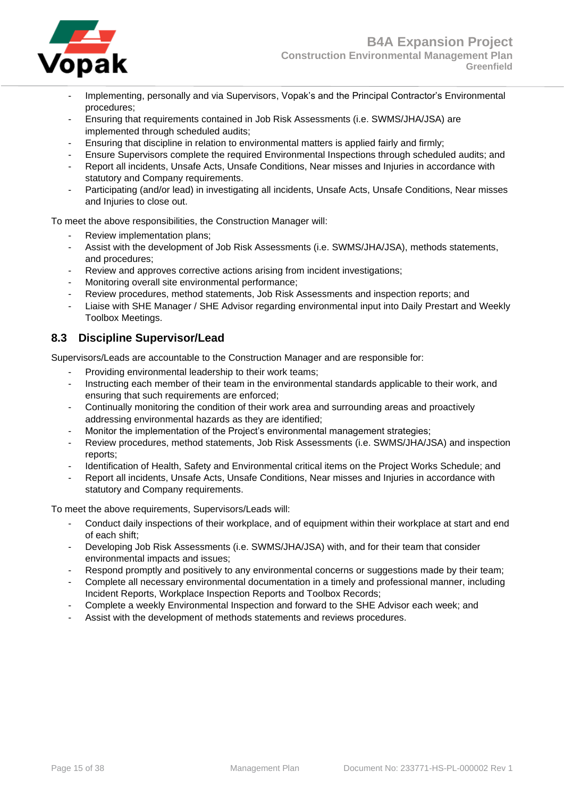

- Implementing, personally and via Supervisors, Vopak's and the Principal Contractor's Environmental procedures;
- Ensuring that requirements contained in Job Risk Assessments (i.e. SWMS/JHA/JSA) are implemented through scheduled audits;
- Ensuring that discipline in relation to environmental matters is applied fairly and firmly;
- Ensure Supervisors complete the required Environmental Inspections through scheduled audits; and
- Report all incidents, Unsafe Acts, Unsafe Conditions, Near misses and Injuries in accordance with statutory and Company requirements.
- Participating (and/or lead) in investigating all incidents, Unsafe Acts, Unsafe Conditions, Near misses and Injuries to close out.

To meet the above responsibilities, the Construction Manager will:

- Review implementation plans;
- Assist with the development of Job Risk Assessments (i.e. SWMS/JHA/JSA), methods statements, and procedures;
- Review and approves corrective actions arising from incident investigations;
- Monitoring overall site environmental performance;
- Review procedures, method statements, Job Risk Assessments and inspection reports; and
- Liaise with SHE Manager / SHE Advisor regarding environmental input into Daily Prestart and Weekly Toolbox Meetings.

## <span id="page-14-0"></span>**8.3 Discipline Supervisor/Lead**

Supervisors/Leads are accountable to the Construction Manager and are responsible for:

- Providing environmental leadership to their work teams;
- Instructing each member of their team in the environmental standards applicable to their work, and ensuring that such requirements are enforced;
- Continually monitoring the condition of their work area and surrounding areas and proactively addressing environmental hazards as they are identified;
- Monitor the implementation of the Project's environmental management strategies;
- Review procedures, method statements, Job Risk Assessments (i.e. SWMS/JHA/JSA) and inspection reports;
- Identification of Health, Safety and Environmental critical items on the Project Works Schedule; and
- Report all incidents, Unsafe Acts, Unsafe Conditions, Near misses and Injuries in accordance with statutory and Company requirements.

To meet the above requirements, Supervisors/Leads will:

- Conduct daily inspections of their workplace, and of equipment within their workplace at start and end of each shift;
- Developing Job Risk Assessments (i.e. SWMS/JHA/JSA) with, and for their team that consider environmental impacts and issues;
- Respond promptly and positively to any environmental concerns or suggestions made by their team;
- Complete all necessary environmental documentation in a timely and professional manner, including Incident Reports, Workplace Inspection Reports and Toolbox Records;
- Complete a weekly Environmental Inspection and forward to the SHE Advisor each week; and
- Assist with the development of methods statements and reviews procedures.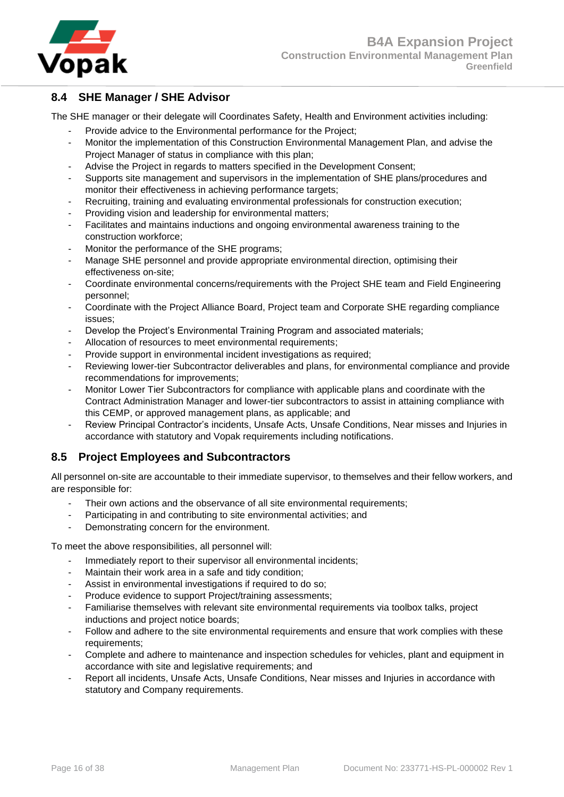

## <span id="page-15-0"></span>**8.4 SHE Manager / SHE Advisor**

The SHE manager or their delegate will Coordinates Safety, Health and Environment activities including:

- Provide advice to the Environmental performance for the Project;
- Monitor the implementation of this Construction Environmental Management Plan, and advise the Project Manager of status in compliance with this plan;
- Advise the Project in regards to matters specified in the Development Consent;
- Supports site management and supervisors in the implementation of SHE plans/procedures and monitor their effectiveness in achieving performance targets;
- Recruiting, training and evaluating environmental professionals for construction execution;
- Providing vision and leadership for environmental matters;
- Facilitates and maintains inductions and ongoing environmental awareness training to the construction workforce;
- Monitor the performance of the SHE programs;
- Manage SHE personnel and provide appropriate environmental direction, optimising their effectiveness on-site;
- Coordinate environmental concerns/requirements with the Project SHE team and Field Engineering personnel;
- Coordinate with the Project Alliance Board, Project team and Corporate SHE regarding compliance issues;
- Develop the Project's Environmental Training Program and associated materials;
- Allocation of resources to meet environmental requirements;
- Provide support in environmental incident investigations as required;
- Reviewing lower-tier Subcontractor deliverables and plans, for environmental compliance and provide recommendations for improvements;
- Monitor Lower Tier Subcontractors for compliance with applicable plans and coordinate with the Contract Administration Manager and lower-tier subcontractors to assist in attaining compliance with this CEMP, or approved management plans, as applicable; and
- Review Principal Contractor's incidents, Unsafe Acts, Unsafe Conditions, Near misses and Injuries in accordance with statutory and Vopak requirements including notifications.

## <span id="page-15-1"></span>**8.5 Project Employees and Subcontractors**

All personnel on-site are accountable to their immediate supervisor, to themselves and their fellow workers, and are responsible for:

- Their own actions and the observance of all site environmental requirements;
- Participating in and contributing to site environmental activities; and
- Demonstrating concern for the environment.

To meet the above responsibilities, all personnel will:

- Immediately report to their supervisor all environmental incidents;
- Maintain their work area in a safe and tidy condition;
- Assist in environmental investigations if required to do so;
- Produce evidence to support Project/training assessments;
- Familiarise themselves with relevant site environmental requirements via toolbox talks, project inductions and project notice boards;
- Follow and adhere to the site environmental requirements and ensure that work complies with these requirements;
- Complete and adhere to maintenance and inspection schedules for vehicles, plant and equipment in accordance with site and legislative requirements; and
- Report all incidents, Unsafe Acts, Unsafe Conditions, Near misses and Injuries in accordance with statutory and Company requirements.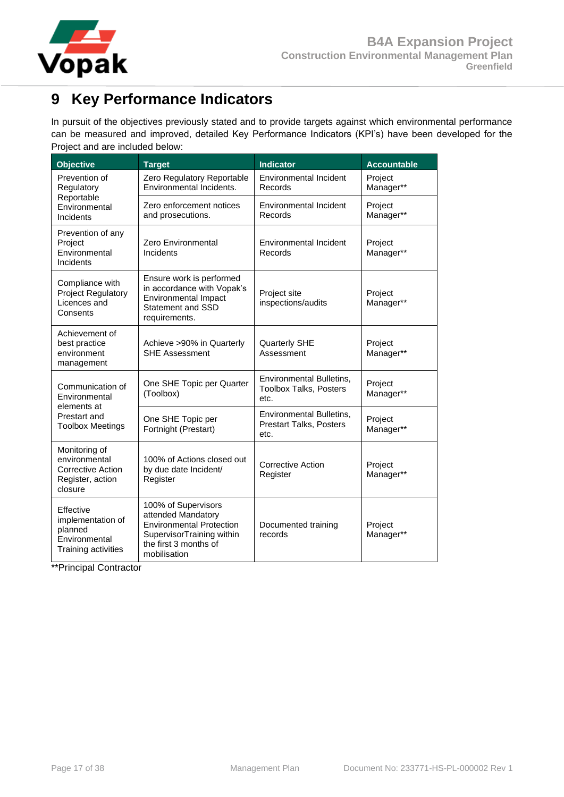

# <span id="page-16-0"></span>**9 Key Performance Indicators**

In pursuit of the objectives previously stated and to provide targets against which environmental performance can be measured and improved, detailed Key Performance Indicators (KPI's) have been developed for the Project and are included below:

| <b>Objective</b>                                                                          | <b>Target</b>                                                                                                                                      | <b>Indicator</b>                                                   | <b>Accountable</b>   |
|-------------------------------------------------------------------------------------------|----------------------------------------------------------------------------------------------------------------------------------------------------|--------------------------------------------------------------------|----------------------|
| Prevention of<br>Regulatory                                                               | Zero Regulatory Reportable<br>Environmental Incidents.                                                                                             | <b>Environmental Incident</b><br>Records                           | Project<br>Manager** |
| Reportable<br>Environmental<br>Incidents                                                  | Zero enforcement notices<br>and prosecutions.                                                                                                      | <b>Environmental Incident</b><br>Records                           | Project<br>Manager** |
| Prevention of any<br>Project<br>Environmental<br>Incidents                                | Zero Environmental<br>Incidents                                                                                                                    | <b>Environmental Incident</b><br>Records                           | Project<br>Manager** |
| Compliance with<br><b>Project Regulatory</b><br>Licences and<br>Consents                  | Ensure work is performed<br>in accordance with Vopak's<br><b>Environmental Impact</b><br><b>Statement and SSD</b><br>requirements.                 | Project site<br>inspections/audits                                 | Project<br>Manager** |
| Achievement of<br>best practice<br>environment<br>management                              | Achieve >90% in Quarterly<br><b>SHE Assessment</b>                                                                                                 | <b>Quarterly SHE</b><br>Assessment                                 | Project<br>Manager** |
| Communication of<br>Environmental                                                         | One SHE Topic per Quarter<br>(Toolbox)                                                                                                             | Environmental Bulletins,<br><b>Toolbox Talks, Posters</b><br>etc.  | Project<br>Manager** |
| elements at<br>Prestart and<br><b>Toolbox Meetings</b>                                    | One SHE Topic per<br>Fortnight (Prestart)                                                                                                          | Environmental Bulletins,<br><b>Prestart Talks, Posters</b><br>etc. | Project<br>Manager** |
| Monitoring of<br>environmental<br><b>Corrective Action</b><br>Register, action<br>closure | 100% of Actions closed out<br>by due date Incident/<br>Register                                                                                    | <b>Corrective Action</b><br>Register                               | Project<br>Manager** |
| Effective<br>implementation of<br>planned<br>Environmental<br>Training activities         | 100% of Supervisors<br>attended Mandatory<br><b>Environmental Protection</b><br>SupervisorTraining within<br>the first 3 months of<br>mobilisation | Documented training<br>records                                     | Project<br>Manager** |

\*\*Principal Contractor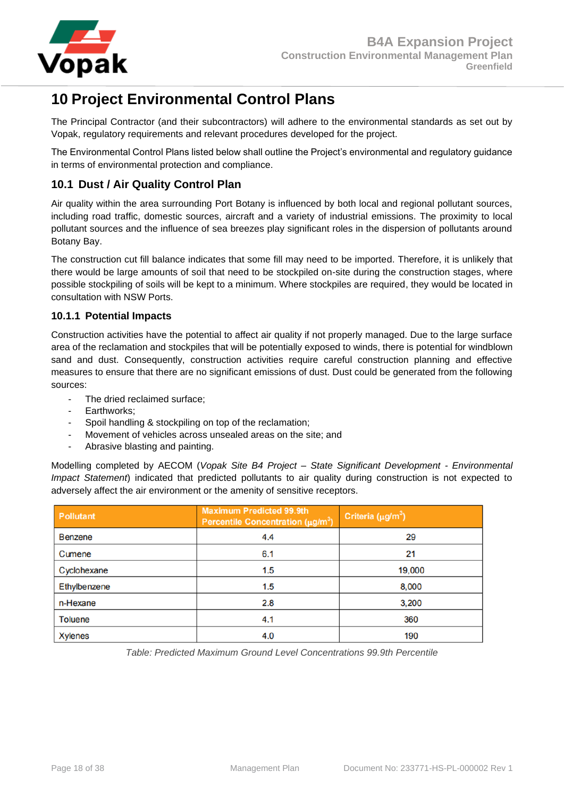

# <span id="page-17-0"></span>**10 Project Environmental Control Plans**

The Principal Contractor (and their subcontractors) will adhere to the environmental standards as set out by Vopak, regulatory requirements and relevant procedures developed for the project.

The Environmental Control Plans listed below shall outline the Project's environmental and regulatory guidance in terms of environmental protection and compliance.

## <span id="page-17-1"></span>**10.1 Dust / Air Quality Control Plan**

Air quality within the area surrounding Port Botany is influenced by both local and regional pollutant sources, including road traffic, domestic sources, aircraft and a variety of industrial emissions. The proximity to local pollutant sources and the influence of sea breezes play significant roles in the dispersion of pollutants around Botany Bay.

The construction cut fill balance indicates that some fill may need to be imported. Therefore, it is unlikely that there would be large amounts of soil that need to be stockpiled on-site during the construction stages, where possible stockpiling of soils will be kept to a minimum. Where stockpiles are required, they would be located in consultation with NSW Ports.

## <span id="page-17-2"></span>**10.1.1 Potential Impacts**

Construction activities have the potential to affect air quality if not properly managed. Due to the large surface area of the reclamation and stockpiles that will be potentially exposed to winds, there is potential for windblown sand and dust. Consequently, construction activities require careful construction planning and effective measures to ensure that there are no significant emissions of dust. Dust could be generated from the following sources:

- The dried reclaimed surface;
- Earthworks:
- Spoil handling & stockpiling on top of the reclamation;
- Movement of vehicles across unsealed areas on the site; and
- Abrasive blasting and painting.

Modelling completed by AECOM (*Vopak Site B4 Project – State Significant Development - Environmental Impact Statement*) indicated that predicted pollutants to air quality during construction is not expected to adversely affect the air environment or the amenity of sensitive receptors.

| <b>Pollutant</b> | <b>Maximum Predicted 99.9th</b><br>Percentile Concentration ( $\mu$ g/m <sup>3</sup> ) | Criteria ( $\mu$ g/m <sup>3</sup> ) |
|------------------|----------------------------------------------------------------------------------------|-------------------------------------|
| <b>Benzene</b>   | 4.4                                                                                    | 29                                  |
| Cumene           | 6.1                                                                                    | 21                                  |
| Cyclohexane      | 1.5                                                                                    | 19,000                              |
| Ethylbenzene     | 1.5                                                                                    | 8,000                               |
| n-Hexane         | 2.8                                                                                    | 3,200                               |
| <b>Toluene</b>   | 4.1                                                                                    | 360                                 |
| <b>Xylenes</b>   | 4.0                                                                                    | 190                                 |

*Table: Predicted Maximum Ground Level Concentrations 99.9th Percentile*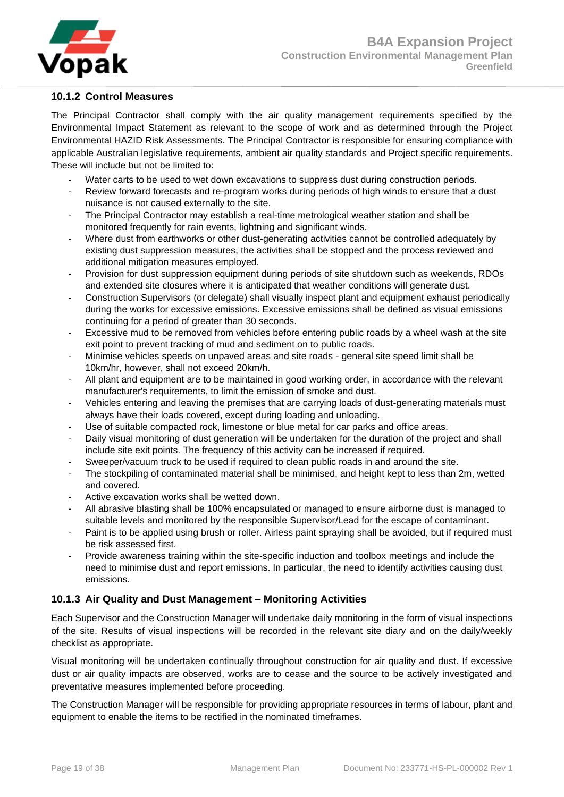

## <span id="page-18-0"></span>**10.1.2 Control Measures**

The Principal Contractor shall comply with the air quality management requirements specified by the Environmental Impact Statement as relevant to the scope of work and as determined through the Project Environmental HAZID Risk Assessments. The Principal Contractor is responsible for ensuring compliance with applicable Australian legislative requirements, ambient air quality standards and Project specific requirements. These will include but not be limited to:

- Water carts to be used to wet down excavations to suppress dust during construction periods.
- Review forward forecasts and re-program works during periods of high winds to ensure that a dust nuisance is not caused externally to the site.
- The Principal Contractor may establish a real-time metrological weather station and shall be monitored frequently for rain events, lightning and significant winds.
- Where dust from earthworks or other dust-generating activities cannot be controlled adequately by existing dust suppression measures, the activities shall be stopped and the process reviewed and additional mitigation measures employed.
- Provision for dust suppression equipment during periods of site shutdown such as weekends, RDOs and extended site closures where it is anticipated that weather conditions will generate dust.
- Construction Supervisors (or delegate) shall visually inspect plant and equipment exhaust periodically during the works for excessive emissions. Excessive emissions shall be defined as visual emissions continuing for a period of greater than 30 seconds.
- Excessive mud to be removed from vehicles before entering public roads by a wheel wash at the site exit point to prevent tracking of mud and sediment on to public roads.
- Minimise vehicles speeds on unpaved areas and site roads general site speed limit shall be 10km/hr, however, shall not exceed 20km/h.
- All plant and equipment are to be maintained in good working order, in accordance with the relevant manufacturer's requirements, to limit the emission of smoke and dust.
- Vehicles entering and leaving the premises that are carrying loads of dust-generating materials must always have their loads covered, except during loading and unloading.
- Use of suitable compacted rock, limestone or blue metal for car parks and office areas.
- Daily visual monitoring of dust generation will be undertaken for the duration of the project and shall include site exit points. The frequency of this activity can be increased if required.
- Sweeper/vacuum truck to be used if required to clean public roads in and around the site.
- The stockpiling of contaminated material shall be minimised, and height kept to less than 2m, wetted and covered.
- Active excavation works shall be wetted down.
- All abrasive blasting shall be 100% encapsulated or managed to ensure airborne dust is managed to suitable levels and monitored by the responsible Supervisor/Lead for the escape of contaminant.
- Paint is to be applied using brush or roller. Airless paint spraying shall be avoided, but if required must be risk assessed first.
- Provide awareness training within the site-specific induction and toolbox meetings and include the need to minimise dust and report emissions. In particular, the need to identify activities causing dust emissions.

#### <span id="page-18-1"></span>**10.1.3 Air Quality and Dust Management – Monitoring Activities**

Each Supervisor and the Construction Manager will undertake daily monitoring in the form of visual inspections of the site. Results of visual inspections will be recorded in the relevant site diary and on the daily/weekly checklist as appropriate.

Visual monitoring will be undertaken continually throughout construction for air quality and dust. If excessive dust or air quality impacts are observed, works are to cease and the source to be actively investigated and preventative measures implemented before proceeding.

The Construction Manager will be responsible for providing appropriate resources in terms of labour, plant and equipment to enable the items to be rectified in the nominated timeframes.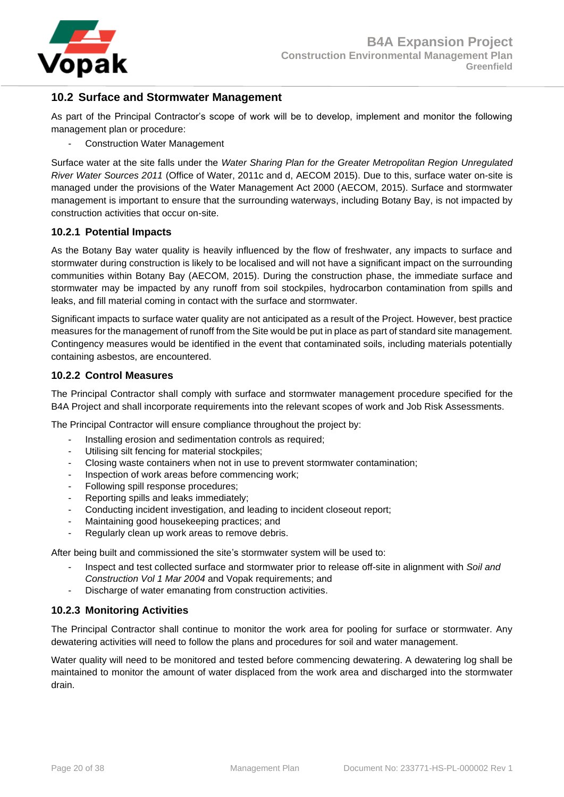

## <span id="page-19-0"></span>**10.2 Surface and Stormwater Management**

As part of the Principal Contractor's scope of work will be to develop, implement and monitor the following management plan or procedure:

Construction Water Management

Surface water at the site falls under the *Water Sharing Plan for the Greater Metropolitan Region Unregulated River Water Sources 2011* (Office of Water, 2011c and d, AECOM 2015). Due to this, surface water on-site is managed under the provisions of the Water Management Act 2000 (AECOM, 2015). Surface and stormwater management is important to ensure that the surrounding waterways, including Botany Bay, is not impacted by construction activities that occur on-site.

#### <span id="page-19-1"></span>**10.2.1 Potential Impacts**

As the Botany Bay water quality is heavily influenced by the flow of freshwater, any impacts to surface and stormwater during construction is likely to be localised and will not have a significant impact on the surrounding communities within Botany Bay (AECOM, 2015). During the construction phase, the immediate surface and stormwater may be impacted by any runoff from soil stockpiles, hydrocarbon contamination from spills and leaks, and fill material coming in contact with the surface and stormwater.

Significant impacts to surface water quality are not anticipated as a result of the Project. However, best practice measures for the management of runoff from the Site would be put in place as part of standard site management. Contingency measures would be identified in the event that contaminated soils, including materials potentially containing asbestos, are encountered.

#### <span id="page-19-2"></span>**10.2.2 Control Measures**

The Principal Contractor shall comply with surface and stormwater management procedure specified for the B4A Project and shall incorporate requirements into the relevant scopes of work and Job Risk Assessments.

The Principal Contractor will ensure compliance throughout the project by:

- Installing erosion and sedimentation controls as required;
- Utilising silt fencing for material stockpiles;
- Closing waste containers when not in use to prevent stormwater contamination;
- Inspection of work areas before commencing work;
- Following spill response procedures;
- Reporting spills and leaks immediately;
- Conducting incident investigation, and leading to incident closeout report;
- Maintaining good housekeeping practices; and
- Regularly clean up work areas to remove debris.

After being built and commissioned the site's stormwater system will be used to:

- Inspect and test collected surface and stormwater prior to release off-site in alignment with *Soil and Construction Vol 1 Mar 2004* and Vopak requirements; and
- Discharge of water emanating from construction activities.

#### <span id="page-19-3"></span>**10.2.3 Monitoring Activities**

The Principal Contractor shall continue to monitor the work area for pooling for surface or stormwater. Any dewatering activities will need to follow the plans and procedures for soil and water management.

Water quality will need to be monitored and tested before commencing dewatering. A dewatering log shall be maintained to monitor the amount of water displaced from the work area and discharged into the stormwater drain.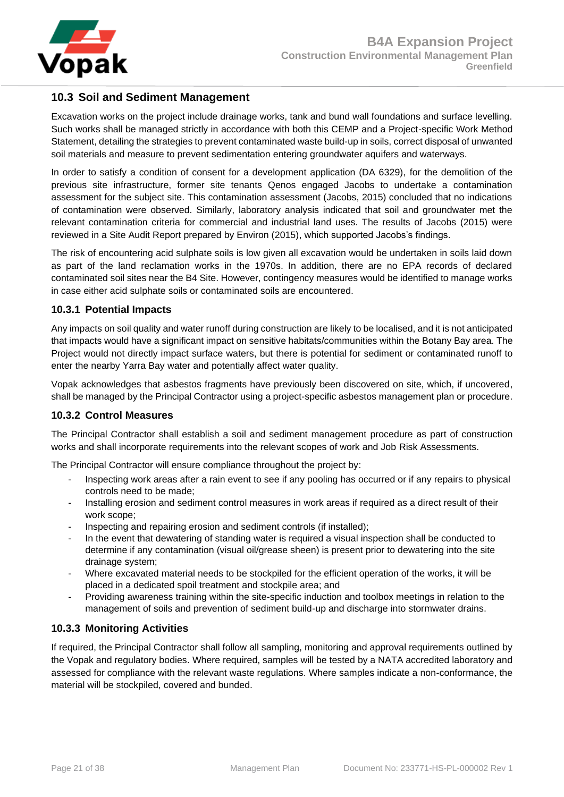

## <span id="page-20-0"></span>**10.3 Soil and Sediment Management**

Excavation works on the project include drainage works, tank and bund wall foundations and surface levelling. Such works shall be managed strictly in accordance with both this CEMP and a Project-specific Work Method Statement, detailing the strategies to prevent contaminated waste build-up in soils, correct disposal of unwanted soil materials and measure to prevent sedimentation entering groundwater aquifers and waterways.

In order to satisfy a condition of consent for a development application (DA 6329), for the demolition of the previous site infrastructure, former site tenants Qenos engaged Jacobs to undertake a contamination assessment for the subject site. This contamination assessment (Jacobs, 2015) concluded that no indications of contamination were observed. Similarly, laboratory analysis indicated that soil and groundwater met the relevant contamination criteria for commercial and industrial land uses. The results of Jacobs (2015) were reviewed in a Site Audit Report prepared by Environ (2015), which supported Jacobs's findings.

The risk of encountering acid sulphate soils is low given all excavation would be undertaken in soils laid down as part of the land reclamation works in the 1970s. In addition, there are no EPA records of declared contaminated soil sites near the B4 Site. However, contingency measures would be identified to manage works in case either acid sulphate soils or contaminated soils are encountered.

## <span id="page-20-1"></span>**10.3.1 Potential Impacts**

Any impacts on soil quality and water runoff during construction are likely to be localised, and it is not anticipated that impacts would have a significant impact on sensitive habitats/communities within the Botany Bay area. The Project would not directly impact surface waters, but there is potential for sediment or contaminated runoff to enter the nearby Yarra Bay water and potentially affect water quality.

Vopak acknowledges that asbestos fragments have previously been discovered on site, which, if uncovered, shall be managed by the Principal Contractor using a project-specific asbestos management plan or procedure.

## <span id="page-20-2"></span>**10.3.2 Control Measures**

The Principal Contractor shall establish a soil and sediment management procedure as part of construction works and shall incorporate requirements into the relevant scopes of work and Job Risk Assessments.

The Principal Contractor will ensure compliance throughout the project by:

- Inspecting work areas after a rain event to see if any pooling has occurred or if any repairs to physical controls need to be made;
- Installing erosion and sediment control measures in work areas if required as a direct result of their work scope;
- Inspecting and repairing erosion and sediment controls (if installed);
- In the event that dewatering of standing water is required a visual inspection shall be conducted to determine if any contamination (visual oil/grease sheen) is present prior to dewatering into the site drainage system;
- Where excavated material needs to be stockpiled for the efficient operation of the works, it will be placed in a dedicated spoil treatment and stockpile area; and
- Providing awareness training within the site-specific induction and toolbox meetings in relation to the management of soils and prevention of sediment build-up and discharge into stormwater drains.

## <span id="page-20-3"></span>**10.3.3 Monitoring Activities**

If required, the Principal Contractor shall follow all sampling, monitoring and approval requirements outlined by the Vopak and regulatory bodies. Where required, samples will be tested by a NATA accredited laboratory and assessed for compliance with the relevant waste regulations. Where samples indicate a non-conformance, the material will be stockpiled, covered and bunded.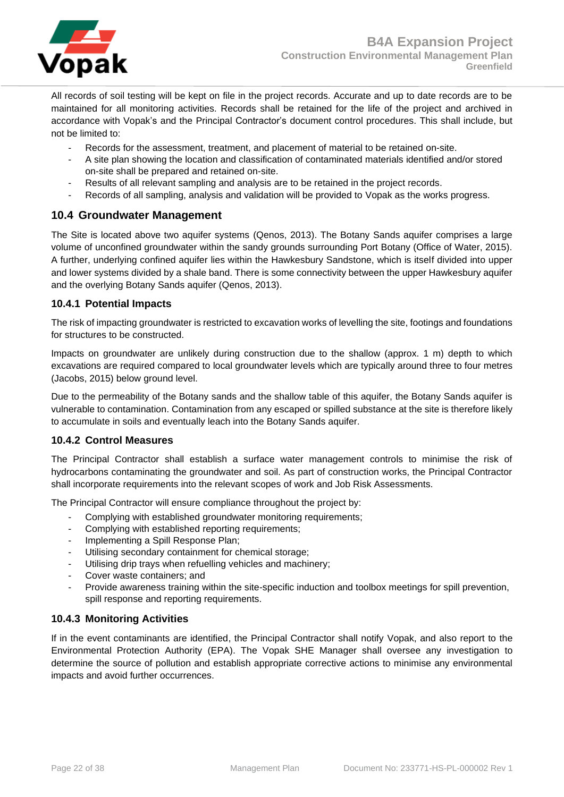

All records of soil testing will be kept on file in the project records. Accurate and up to date records are to be maintained for all monitoring activities. Records shall be retained for the life of the project and archived in accordance with Vopak's and the Principal Contractor's document control procedures. This shall include, but not be limited to:

- Records for the assessment, treatment, and placement of material to be retained on-site.
- A site plan showing the location and classification of contaminated materials identified and/or stored on-site shall be prepared and retained on-site.
- Results of all relevant sampling and analysis are to be retained in the project records.
- Records of all sampling, analysis and validation will be provided to Vopak as the works progress.

## <span id="page-21-0"></span>**10.4 Groundwater Management**

The Site is located above two aquifer systems (Qenos, 2013). The Botany Sands aquifer comprises a large volume of unconfined groundwater within the sandy grounds surrounding Port Botany (Office of Water, 2015). A further, underlying confined aquifer lies within the Hawkesbury Sandstone, which is itself divided into upper and lower systems divided by a shale band. There is some connectivity between the upper Hawkesbury aquifer and the overlying Botany Sands aquifer (Qenos, 2013).

#### <span id="page-21-1"></span>**10.4.1 Potential Impacts**

The risk of impacting groundwater is restricted to excavation works of levelling the site, footings and foundations for structures to be constructed.

Impacts on groundwater are unlikely during construction due to the shallow (approx. 1 m) depth to which excavations are required compared to local groundwater levels which are typically around three to four metres (Jacobs, 2015) below ground level.

Due to the permeability of the Botany sands and the shallow table of this aquifer, the Botany Sands aquifer is vulnerable to contamination. Contamination from any escaped or spilled substance at the site is therefore likely to accumulate in soils and eventually leach into the Botany Sands aquifer.

## <span id="page-21-2"></span>**10.4.2 Control Measures**

The Principal Contractor shall establish a surface water management controls to minimise the risk of hydrocarbons contaminating the groundwater and soil. As part of construction works, the Principal Contractor shall incorporate requirements into the relevant scopes of work and Job Risk Assessments.

The Principal Contractor will ensure compliance throughout the project by:

- Complying with established groundwater monitoring requirements;
- Complying with established reporting requirements;
- Implementing a Spill Response Plan;
- Utilising secondary containment for chemical storage;
- Utilising drip trays when refuelling vehicles and machinery;
- Cover waste containers; and
- Provide awareness training within the site-specific induction and toolbox meetings for spill prevention, spill response and reporting requirements.

## <span id="page-21-3"></span>**10.4.3 Monitoring Activities**

If in the event contaminants are identified, the Principal Contractor shall notify Vopak, and also report to the Environmental Protection Authority (EPA). The Vopak SHE Manager shall oversee any investigation to determine the source of pollution and establish appropriate corrective actions to minimise any environmental impacts and avoid further occurrences.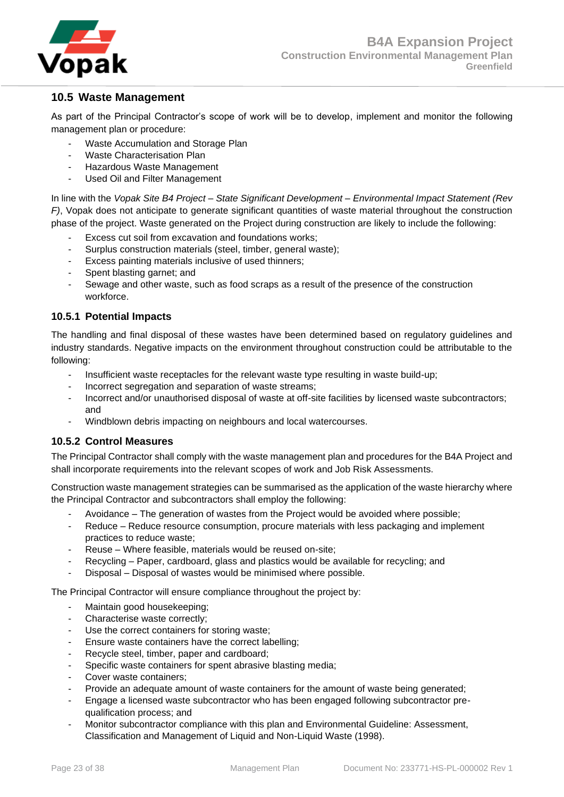

## <span id="page-22-0"></span>**10.5 Waste Management**

As part of the Principal Contractor's scope of work will be to develop, implement and monitor the following management plan or procedure:

- Waste Accumulation and Storage Plan
- Waste Characterisation Plan
- Hazardous Waste Management
- Used Oil and Filter Management

In line with the *Vopak Site B4 Project – State Significant Development – Environmental Impact Statement (Rev F)*, Vopak does not anticipate to generate significant quantities of waste material throughout the construction phase of the project. Waste generated on the Project during construction are likely to include the following:

- Excess cut soil from excavation and foundations works;
- Surplus construction materials (steel, timber, general waste);
- Excess painting materials inclusive of used thinners;
- Spent blasting garnet; and
- Sewage and other waste, such as food scraps as a result of the presence of the construction workforce.

#### <span id="page-22-1"></span>**10.5.1 Potential Impacts**

The handling and final disposal of these wastes have been determined based on regulatory guidelines and industry standards. Negative impacts on the environment throughout construction could be attributable to the following:

- Insufficient waste receptacles for the relevant waste type resulting in waste build-up;
- Incorrect segregation and separation of waste streams;
- Incorrect and/or unauthorised disposal of waste at off-site facilities by licensed waste subcontractors; and
- Windblown debris impacting on neighbours and local watercourses.

#### <span id="page-22-2"></span>**10.5.2 Control Measures**

The Principal Contractor shall comply with the waste management plan and procedures for the B4A Project and shall incorporate requirements into the relevant scopes of work and Job Risk Assessments.

Construction waste management strategies can be summarised as the application of the waste hierarchy where the Principal Contractor and subcontractors shall employ the following:

- Avoidance The generation of wastes from the Project would be avoided where possible;
- Reduce Reduce resource consumption, procure materials with less packaging and implement practices to reduce waste;
- Reuse Where feasible, materials would be reused on-site;
- Recycling Paper, cardboard, glass and plastics would be available for recycling; and
- Disposal Disposal of wastes would be minimised where possible.

The Principal Contractor will ensure compliance throughout the project by:

- Maintain good housekeeping;
- Characterise waste correctly;
- Use the correct containers for storing waste;
- Ensure waste containers have the correct labelling;
- Recycle steel, timber, paper and cardboard;
- Specific waste containers for spent abrasive blasting media;
- Cover waste containers:
- Provide an adequate amount of waste containers for the amount of waste being generated;
- Engage a licensed waste subcontractor who has been engaged following subcontractor prequalification process; and
- Monitor subcontractor compliance with this plan and Environmental Guideline: Assessment, Classification and Management of Liquid and Non-Liquid Waste (1998).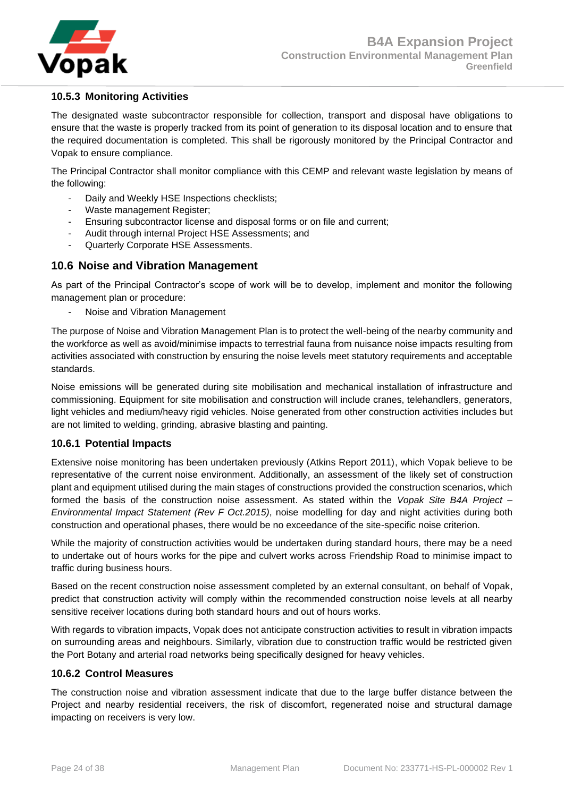

## <span id="page-23-0"></span>**10.5.3 Monitoring Activities**

The designated waste subcontractor responsible for collection, transport and disposal have obligations to ensure that the waste is properly tracked from its point of generation to its disposal location and to ensure that the required documentation is completed. This shall be rigorously monitored by the Principal Contractor and Vopak to ensure compliance.

The Principal Contractor shall monitor compliance with this CEMP and relevant waste legislation by means of the following:

- Daily and Weekly HSE Inspections checklists;
- Waste management Register;
- Ensuring subcontractor license and disposal forms or on file and current;
- Audit through internal Project HSE Assessments; and
- Quarterly Corporate HSE Assessments.

## <span id="page-23-1"></span>**10.6 Noise and Vibration Management**

As part of the Principal Contractor's scope of work will be to develop, implement and monitor the following management plan or procedure:

Noise and Vibration Management

The purpose of Noise and Vibration Management Plan is to protect the well-being of the nearby community and the workforce as well as avoid/minimise impacts to terrestrial fauna from nuisance noise impacts resulting from activities associated with construction by ensuring the noise levels meet statutory requirements and acceptable standards.

Noise emissions will be generated during site mobilisation and mechanical installation of infrastructure and commissioning. Equipment for site mobilisation and construction will include cranes, telehandlers, generators, light vehicles and medium/heavy rigid vehicles. Noise generated from other construction activities includes but are not limited to welding, grinding, abrasive blasting and painting.

#### <span id="page-23-2"></span>**10.6.1 Potential Impacts**

Extensive noise monitoring has been undertaken previously (Atkins Report 2011), which Vopak believe to be representative of the current noise environment. Additionally, an assessment of the likely set of construction plant and equipment utilised during the main stages of constructions provided the construction scenarios, which formed the basis of the construction noise assessment. As stated within the *Vopak Site B4A Project – Environmental Impact Statement (Rev F Oct.2015)*, noise modelling for day and night activities during both construction and operational phases, there would be no exceedance of the site-specific noise criterion.

While the majority of construction activities would be undertaken during standard hours, there may be a need to undertake out of hours works for the pipe and culvert works across Friendship Road to minimise impact to traffic during business hours.

Based on the recent construction noise assessment completed by an external consultant, on behalf of Vopak, predict that construction activity will comply within the recommended construction noise levels at all nearby sensitive receiver locations during both standard hours and out of hours works.

With regards to vibration impacts, Vopak does not anticipate construction activities to result in vibration impacts on surrounding areas and neighbours. Similarly, vibration due to construction traffic would be restricted given the Port Botany and arterial road networks being specifically designed for heavy vehicles.

#### <span id="page-23-3"></span>**10.6.2 Control Measures**

The construction noise and vibration assessment indicate that due to the large buffer distance between the Project and nearby residential receivers, the risk of discomfort, regenerated noise and structural damage impacting on receivers is very low.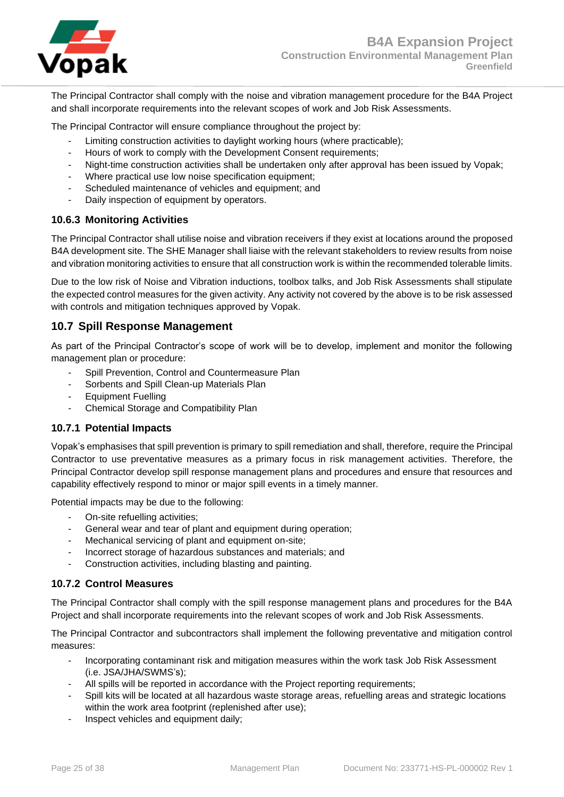

The Principal Contractor shall comply with the noise and vibration management procedure for the B4A Project and shall incorporate requirements into the relevant scopes of work and Job Risk Assessments.

The Principal Contractor will ensure compliance throughout the project by:

- Limiting construction activities to daylight working hours (where practicable):
- Hours of work to comply with the Development Consent requirements;
- Night-time construction activities shall be undertaken only after approval has been issued by Vopak;
- Where practical use low noise specification equipment;
- Scheduled maintenance of vehicles and equipment; and
- Daily inspection of equipment by operators.

#### <span id="page-24-0"></span>**10.6.3 Monitoring Activities**

The Principal Contractor shall utilise noise and vibration receivers if they exist at locations around the proposed B4A development site. The SHE Manager shall liaise with the relevant stakeholders to review results from noise and vibration monitoring activities to ensure that all construction work is within the recommended tolerable limits.

Due to the low risk of Noise and Vibration inductions, toolbox talks, and Job Risk Assessments shall stipulate the expected control measures for the given activity. Any activity not covered by the above is to be risk assessed with controls and mitigation techniques approved by Vopak.

## <span id="page-24-1"></span>**10.7 Spill Response Management**

As part of the Principal Contractor's scope of work will be to develop, implement and monitor the following management plan or procedure:

- Spill Prevention, Control and Countermeasure Plan
- Sorbents and Spill Clean-up Materials Plan
- Equipment Fuelling
- Chemical Storage and Compatibility Plan

#### <span id="page-24-2"></span>**10.7.1 Potential Impacts**

Vopak's emphasises that spill prevention is primary to spill remediation and shall, therefore, require the Principal Contractor to use preventative measures as a primary focus in risk management activities. Therefore, the Principal Contractor develop spill response management plans and procedures and ensure that resources and capability effectively respond to minor or major spill events in a timely manner.

Potential impacts may be due to the following:

- On-site refuelling activities;
- General wear and tear of plant and equipment during operation;
- Mechanical servicing of plant and equipment on-site;
- Incorrect storage of hazardous substances and materials; and
- Construction activities, including blasting and painting.

#### <span id="page-24-3"></span>**10.7.2 Control Measures**

The Principal Contractor shall comply with the spill response management plans and procedures for the B4A Project and shall incorporate requirements into the relevant scopes of work and Job Risk Assessments.

The Principal Contractor and subcontractors shall implement the following preventative and mitigation control measures:

- Incorporating contaminant risk and mitigation measures within the work task Job Risk Assessment (i.e. JSA/JHA/SWMS's);
- All spills will be reported in accordance with the Project reporting requirements;
- Spill kits will be located at all hazardous waste storage areas, refuelling areas and strategic locations within the work area footprint (replenished after use);
- Inspect vehicles and equipment daily;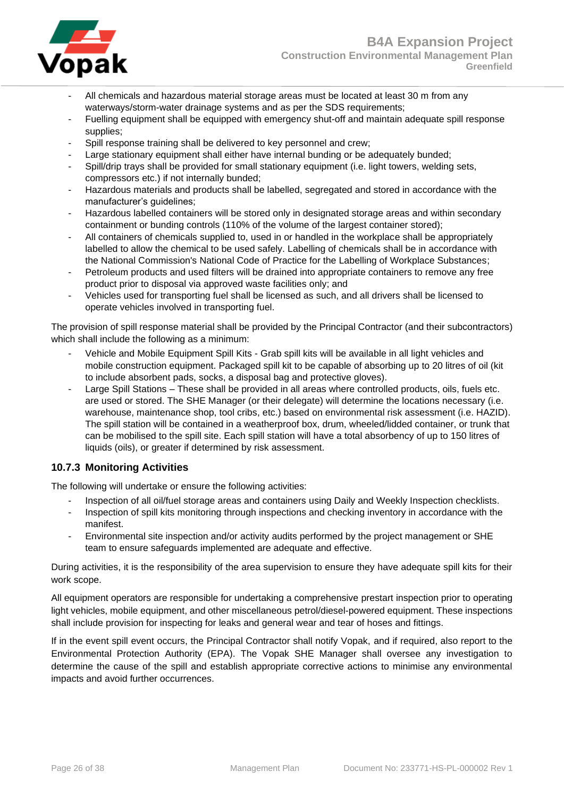- All chemicals and hazardous material storage areas must be located at least 30 m from any waterways/storm-water drainage systems and as per the SDS requirements;
- Fuelling equipment shall be equipped with emergency shut-off and maintain adequate spill response supplies;
- Spill response training shall be delivered to key personnel and crew;
- Large stationary equipment shall either have internal bunding or be adequately bunded;
- Spill/drip trays shall be provided for small stationary equipment (i.e. light towers, welding sets, compressors etc.) if not internally bunded;
- Hazardous materials and products shall be labelled, segregated and stored in accordance with the manufacturer's guidelines;
- Hazardous labelled containers will be stored only in designated storage areas and within secondary containment or bunding controls (110% of the volume of the largest container stored);
- All containers of chemicals supplied to, used in or handled in the workplace shall be appropriately labelled to allow the chemical to be used safely. Labelling of chemicals shall be in accordance with the National Commission's National Code of Practice for the Labelling of Workplace Substances;
- Petroleum products and used filters will be drained into appropriate containers to remove any free product prior to disposal via approved waste facilities only; and
- Vehicles used for transporting fuel shall be licensed as such, and all drivers shall be licensed to operate vehicles involved in transporting fuel.

The provision of spill response material shall be provided by the Principal Contractor (and their subcontractors) which shall include the following as a minimum:

- Vehicle and Mobile Equipment Spill Kits Grab spill kits will be available in all light vehicles and mobile construction equipment. Packaged spill kit to be capable of absorbing up to 20 litres of oil (kit to include absorbent pads, socks, a disposal bag and protective gloves).
- Large Spill Stations These shall be provided in all areas where controlled products, oils, fuels etc. are used or stored. The SHE Manager (or their delegate) will determine the locations necessary (i.e. warehouse, maintenance shop, tool cribs, etc.) based on environmental risk assessment (i.e. HAZID). The spill station will be contained in a weatherproof box, drum, wheeled/lidded container, or trunk that can be mobilised to the spill site. Each spill station will have a total absorbency of up to 150 litres of liquids (oils), or greater if determined by risk assessment.

## <span id="page-25-0"></span>**10.7.3 Monitoring Activities**

The following will undertake or ensure the following activities:

- Inspection of all oil/fuel storage areas and containers using Daily and Weekly Inspection checklists.
- Inspection of spill kits monitoring through inspections and checking inventory in accordance with the manifest.
- Environmental site inspection and/or activity audits performed by the project management or SHE team to ensure safeguards implemented are adequate and effective.

During activities, it is the responsibility of the area supervision to ensure they have adequate spill kits for their work scope.

All equipment operators are responsible for undertaking a comprehensive prestart inspection prior to operating light vehicles, mobile equipment, and other miscellaneous petrol/diesel-powered equipment. These inspections shall include provision for inspecting for leaks and general wear and tear of hoses and fittings.

If in the event spill event occurs, the Principal Contractor shall notify Vopak, and if required, also report to the Environmental Protection Authority (EPA). The Vopak SHE Manager shall oversee any investigation to determine the cause of the spill and establish appropriate corrective actions to minimise any environmental impacts and avoid further occurrences.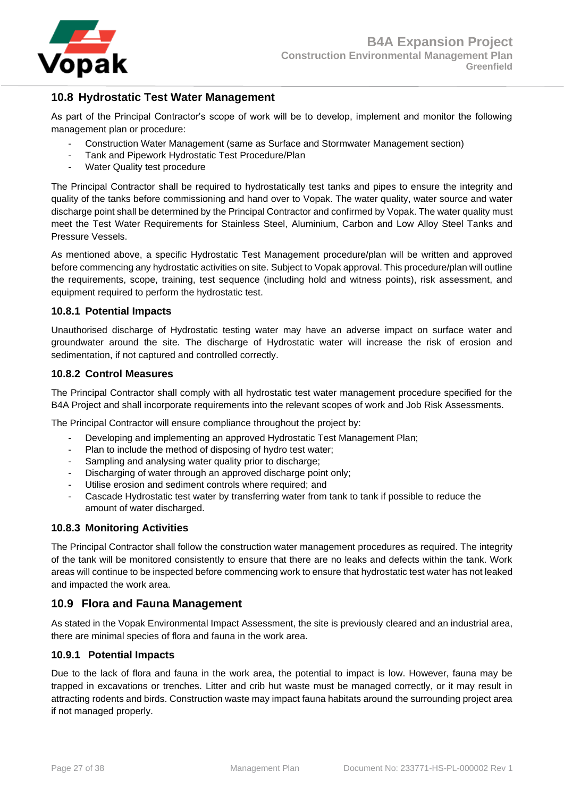

## <span id="page-26-0"></span>**10.8 Hydrostatic Test Water Management**

As part of the Principal Contractor's scope of work will be to develop, implement and monitor the following management plan or procedure:

- Construction Water Management (same as Surface and Stormwater Management section)
- Tank and Pipework Hydrostatic Test Procedure/Plan
- Water Quality test procedure

The Principal Contractor shall be required to hydrostatically test tanks and pipes to ensure the integrity and quality of the tanks before commissioning and hand over to Vopak. The water quality, water source and water discharge point shall be determined by the Principal Contractor and confirmed by Vopak. The water quality must meet the Test Water Requirements for Stainless Steel, Aluminium, Carbon and Low Alloy Steel Tanks and Pressure Vessels.

As mentioned above, a specific Hydrostatic Test Management procedure/plan will be written and approved before commencing any hydrostatic activities on site. Subject to Vopak approval. This procedure/plan will outline the requirements, scope, training, test sequence (including hold and witness points), risk assessment, and equipment required to perform the hydrostatic test.

#### <span id="page-26-1"></span>**10.8.1 Potential Impacts**

Unauthorised discharge of Hydrostatic testing water may have an adverse impact on surface water and groundwater around the site. The discharge of Hydrostatic water will increase the risk of erosion and sedimentation, if not captured and controlled correctly.

#### <span id="page-26-2"></span>**10.8.2 Control Measures**

The Principal Contractor shall comply with all hydrostatic test water management procedure specified for the B4A Project and shall incorporate requirements into the relevant scopes of work and Job Risk Assessments.

The Principal Contractor will ensure compliance throughout the project by:

- Developing and implementing an approved Hydrostatic Test Management Plan;
- Plan to include the method of disposing of hydro test water;
- Sampling and analysing water quality prior to discharge;
- Discharging of water through an approved discharge point only;
- Utilise erosion and sediment controls where required; and
- Cascade Hydrostatic test water by transferring water from tank to tank if possible to reduce the amount of water discharged.

#### <span id="page-26-3"></span>**10.8.3 Monitoring Activities**

The Principal Contractor shall follow the construction water management procedures as required. The integrity of the tank will be monitored consistently to ensure that there are no leaks and defects within the tank. Work areas will continue to be inspected before commencing work to ensure that hydrostatic test water has not leaked and impacted the work area.

## <span id="page-26-4"></span>**10.9 Flora and Fauna Management**

As stated in the Vopak Environmental Impact Assessment, the site is previously cleared and an industrial area, there are minimal species of flora and fauna in the work area.

#### <span id="page-26-5"></span>**10.9.1 Potential Impacts**

Due to the lack of flora and fauna in the work area, the potential to impact is low. However, fauna may be trapped in excavations or trenches. Litter and crib hut waste must be managed correctly, or it may result in attracting rodents and birds. Construction waste may impact fauna habitats around the surrounding project area if not managed properly.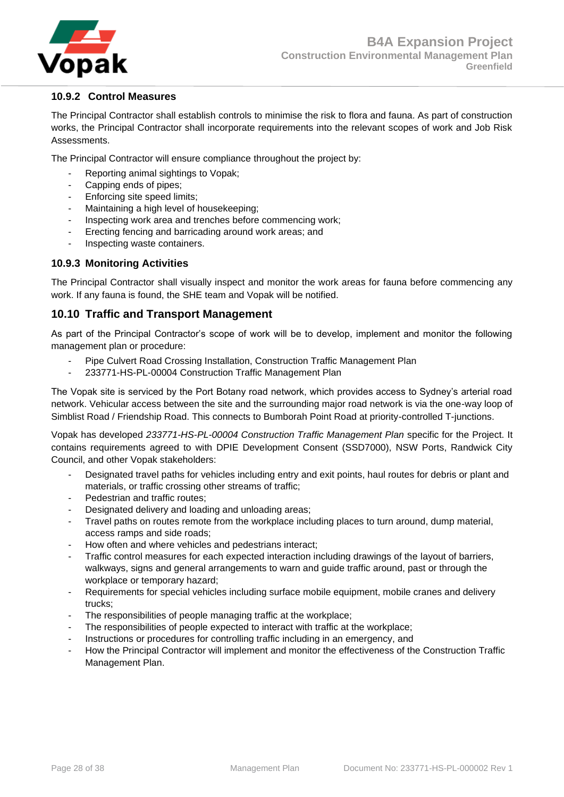

## <span id="page-27-0"></span>**10.9.2 Control Measures**

The Principal Contractor shall establish controls to minimise the risk to flora and fauna. As part of construction works, the Principal Contractor shall incorporate requirements into the relevant scopes of work and Job Risk Assessments.

The Principal Contractor will ensure compliance throughout the project by:

- Reporting animal sightings to Vopak;
- Capping ends of pipes;
- Enforcing site speed limits;
- Maintaining a high level of housekeeping;
- Inspecting work area and trenches before commencing work;
- Erecting fencing and barricading around work areas; and
- Inspecting waste containers.

#### <span id="page-27-1"></span>**10.9.3 Monitoring Activities**

The Principal Contractor shall visually inspect and monitor the work areas for fauna before commencing any work. If any fauna is found, the SHE team and Vopak will be notified.

## <span id="page-27-2"></span>**10.10 Traffic and Transport Management**

As part of the Principal Contractor's scope of work will be to develop, implement and monitor the following management plan or procedure:

- Pipe Culvert Road Crossing Installation, Construction Traffic Management Plan
- 233771-HS-PL-00004 Construction Traffic Management Plan

The Vopak site is serviced by the Port Botany road network, which provides access to Sydney's arterial road network. Vehicular access between the site and the surrounding major road network is via the one-way loop of Simblist Road / Friendship Road. This connects to Bumborah Point Road at priority-controlled T-junctions.

Vopak has developed *233771-HS-PL-00004 Construction Traffic Management Plan* specific for the Project. It contains requirements agreed to with DPIE Development Consent (SSD7000), NSW Ports, Randwick City Council, and other Vopak stakeholders:

- Designated travel paths for vehicles including entry and exit points, haul routes for debris or plant and materials, or traffic crossing other streams of traffic;
- Pedestrian and traffic routes:
- Designated delivery and loading and unloading areas;
- Travel paths on routes remote from the workplace including places to turn around, dump material, access ramps and side roads;
- How often and where vehicles and pedestrians interact;
- Traffic control measures for each expected interaction including drawings of the layout of barriers, walkways, signs and general arrangements to warn and guide traffic around, past or through the workplace or temporary hazard;
- Requirements for special vehicles including surface mobile equipment, mobile cranes and delivery trucks;
- The responsibilities of people managing traffic at the workplace;
- The responsibilities of people expected to interact with traffic at the workplace;
- Instructions or procedures for controlling traffic including in an emergency, and
- How the Principal Contractor will implement and monitor the effectiveness of the Construction Traffic Management Plan.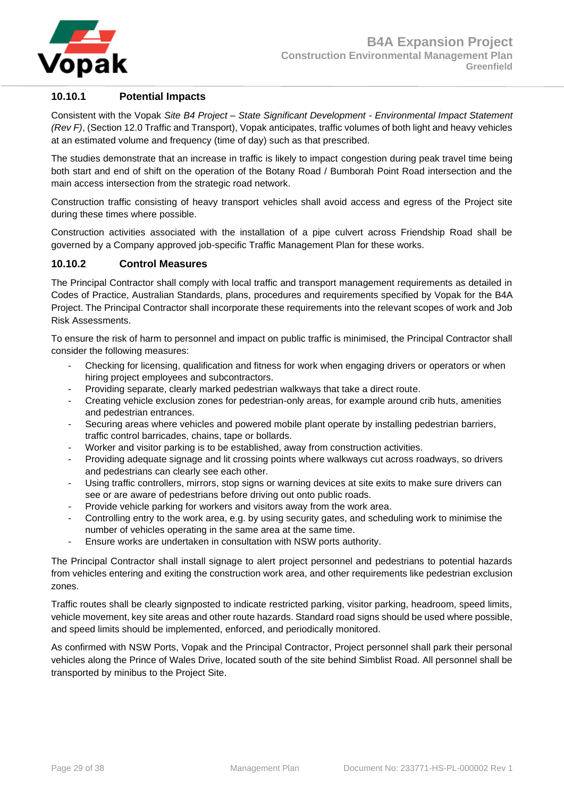

## <span id="page-28-0"></span>**10.10.1 Potential Impacts**

Consistent with the Vopak *Site B4 Project – State Significant Development - Environmental Impact Statement (Rev F)*, (Section 12.0 Traffic and Transport), Vopak anticipates, traffic volumes of both light and heavy vehicles at an estimated volume and frequency (time of day) such as that prescribed.

The studies demonstrate that an increase in traffic is likely to impact congestion during peak travel time being both start and end of shift on the operation of the Botany Road / Bumborah Point Road intersection and the main access intersection from the strategic road network.

Construction traffic consisting of heavy transport vehicles shall avoid access and egress of the Project site during these times where possible.

Construction activities associated with the installation of a pipe culvert across Friendship Road shall be governed by a Company approved job-specific Traffic Management Plan for these works.

#### <span id="page-28-1"></span>**10.10.2 Control Measures**

The Principal Contractor shall comply with local traffic and transport management requirements as detailed in Codes of Practice, Australian Standards, plans, procedures and requirements specified by Vopak for the B4A Project. The Principal Contractor shall incorporate these requirements into the relevant scopes of work and Job Risk Assessments.

To ensure the risk of harm to personnel and impact on public traffic is minimised, the Principal Contractor shall consider the following measures:

- Checking for licensing, qualification and fitness for work when engaging drivers or operators or when hiring project employees and subcontractors.
- Providing separate, clearly marked pedestrian walkways that take a direct route.
- Creating vehicle exclusion zones for pedestrian-only areas, for example around crib huts, amenities and pedestrian entrances.
- Securing areas where vehicles and powered mobile plant operate by installing pedestrian barriers, traffic control barricades, chains, tape or bollards.
- Worker and visitor parking is to be established, away from construction activities.
- Providing adequate signage and lit crossing points where walkways cut across roadways, so drivers and pedestrians can clearly see each other.
- Using traffic controllers, mirrors, stop signs or warning devices at site exits to make sure drivers can see or are aware of pedestrians before driving out onto public roads.
- Provide vehicle parking for workers and visitors away from the work area.
- Controlling entry to the work area, e.g. by using security gates, and scheduling work to minimise the number of vehicles operating in the same area at the same time.
- Ensure works are undertaken in consultation with NSW ports authority.

The Principal Contractor shall install signage to alert project personnel and pedestrians to potential hazards from vehicles entering and exiting the construction work area, and other requirements like pedestrian exclusion zones.

Traffic routes shall be clearly signposted to indicate restricted parking, visitor parking, headroom, speed limits, vehicle movement, key site areas and other route hazards. Standard road signs should be used where possible, and speed limits should be implemented, enforced, and periodically monitored.

As confirmed with NSW Ports, Vopak and the Principal Contractor, Project personnel shall park their personal vehicles along the Prince of Wales Drive, located south of the site behind Simblist Road. All personnel shall be transported by minibus to the Project Site.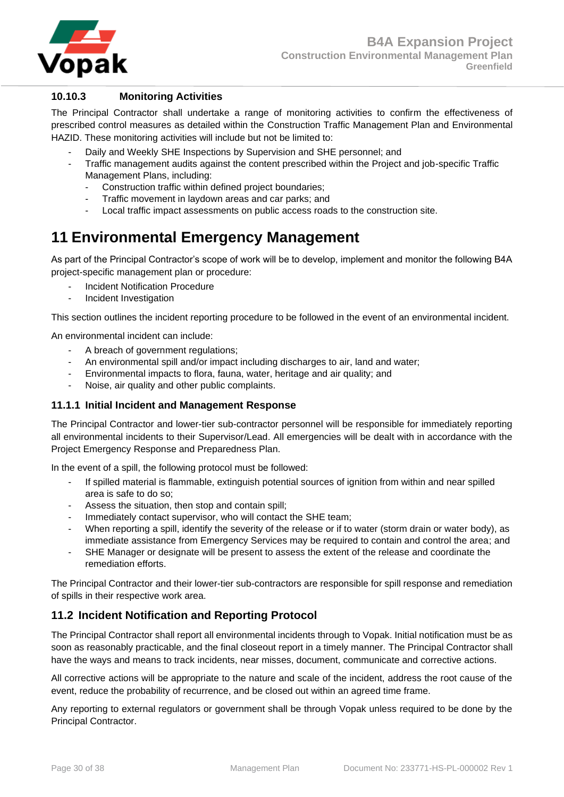

## <span id="page-29-0"></span>**10.10.3 Monitoring Activities**

The Principal Contractor shall undertake a range of monitoring activities to confirm the effectiveness of prescribed control measures as detailed within the Construction Traffic Management Plan and Environmental HAZID. These monitoring activities will include but not be limited to:

- Daily and Weekly SHE Inspections by Supervision and SHE personnel; and
- Traffic management audits against the content prescribed within the Project and job-specific Traffic Management Plans, including:
	- Construction traffic within defined project boundaries;
	- Traffic movement in laydown areas and car parks; and
	- Local traffic impact assessments on public access roads to the construction site.

# <span id="page-29-1"></span>**11 Environmental Emergency Management**

As part of the Principal Contractor's scope of work will be to develop, implement and monitor the following B4A project-specific management plan or procedure:

- Incident Notification Procedure
- Incident Investigation

This section outlines the incident reporting procedure to be followed in the event of an environmental incident.

An environmental incident can include:

- A breach of government regulations;
- An environmental spill and/or impact including discharges to air, land and water;
- Environmental impacts to flora, fauna, water, heritage and air quality; and
- Noise, air quality and other public complaints.

#### <span id="page-29-2"></span>**11.1.1 Initial Incident and Management Response**

The Principal Contractor and lower-tier sub-contractor personnel will be responsible for immediately reporting all environmental incidents to their Supervisor/Lead. All emergencies will be dealt with in accordance with the Project Emergency Response and Preparedness Plan.

In the event of a spill, the following protocol must be followed:

- If spilled material is flammable, extinguish potential sources of ignition from within and near spilled area is safe to do so;
- Assess the situation, then stop and contain spill;
- Immediately contact supervisor, who will contact the SHE team;
- When reporting a spill, identify the severity of the release or if to water (storm drain or water body), as immediate assistance from Emergency Services may be required to contain and control the area; and
- SHE Manager or designate will be present to assess the extent of the release and coordinate the remediation efforts.

The Principal Contractor and their lower-tier sub-contractors are responsible for spill response and remediation of spills in their respective work area.

## <span id="page-29-3"></span>**11.2 Incident Notification and Reporting Protocol**

The Principal Contractor shall report all environmental incidents through to Vopak. Initial notification must be as soon as reasonably practicable, and the final closeout report in a timely manner. The Principal Contractor shall have the ways and means to track incidents, near misses, document, communicate and corrective actions.

All corrective actions will be appropriate to the nature and scale of the incident, address the root cause of the event, reduce the probability of recurrence, and be closed out within an agreed time frame.

Any reporting to external regulators or government shall be through Vopak unless required to be done by the Principal Contractor.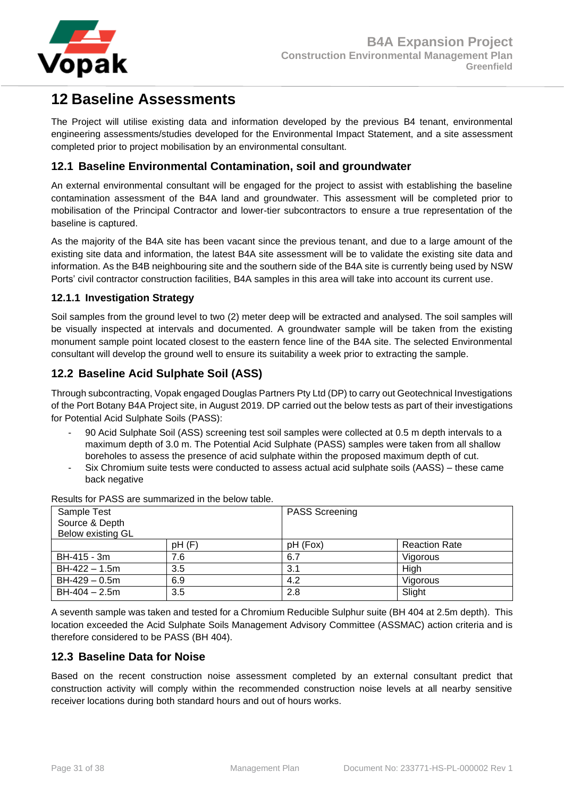

# <span id="page-30-0"></span>**12 Baseline Assessments**

The Project will utilise existing data and information developed by the previous B4 tenant, environmental engineering assessments/studies developed for the Environmental Impact Statement, and a site assessment completed prior to project mobilisation by an environmental consultant.

## <span id="page-30-1"></span>**12.1 Baseline Environmental Contamination, soil and groundwater**

An external environmental consultant will be engaged for the project to assist with establishing the baseline contamination assessment of the B4A land and groundwater. This assessment will be completed prior to mobilisation of the Principal Contractor and lower-tier subcontractors to ensure a true representation of the baseline is captured.

As the majority of the B4A site has been vacant since the previous tenant, and due to a large amount of the existing site data and information, the latest B4A site assessment will be to validate the existing site data and information. As the B4B neighbouring site and the southern side of the B4A site is currently being used by NSW Ports' civil contractor construction facilities, B4A samples in this area will take into account its current use.

## <span id="page-30-2"></span>**12.1.1 Investigation Strategy**

Soil samples from the ground level to two (2) meter deep will be extracted and analysed. The soil samples will be visually inspected at intervals and documented. A groundwater sample will be taken from the existing monument sample point located closest to the eastern fence line of the B4A site. The selected Environmental consultant will develop the ground well to ensure its suitability a week prior to extracting the sample.

## <span id="page-30-3"></span>**12.2 Baseline Acid Sulphate Soil (ASS)**

Through subcontracting, Vopak engaged Douglas Partners Pty Ltd (DP) to carry out Geotechnical Investigations of the Port Botany B4A Project site, in August 2019. DP carried out the below tests as part of their investigations for Potential Acid Sulphate Soils (PASS):

- 90 Acid Sulphate Soil (ASS) screening test soil samples were collected at 0.5 m depth intervals to a maximum depth of 3.0 m. The Potential Acid Sulphate (PASS) samples were taken from all shallow boreholes to assess the presence of acid sulphate within the proposed maximum depth of cut.
- Six Chromium suite tests were conducted to assess actual acid sulphate soils (AASS) these came back negative

| Sample Test<br>Source & Depth<br>Below existing GL |       | <b>PASS Screening</b> |                      |
|----------------------------------------------------|-------|-----------------------|----------------------|
|                                                    | pH(F) | pH (Fox)              | <b>Reaction Rate</b> |
| BH-415 - 3m                                        | 7.6   | 6.7                   | Vigorous             |
| BH-422 - 1.5m                                      | 3.5   | 3.1                   | High                 |
| BH-429 - 0.5m                                      | 6.9   | 4.2                   | Vigorous             |
| $BH-404 - 2.5m$                                    | 3.5   | 2.8                   | Slight               |

Results for PASS are summarized in the below table.

A seventh sample was taken and tested for a Chromium Reducible Sulphur suite (BH 404 at 2.5m depth). This location exceeded the Acid Sulphate Soils Management Advisory Committee (ASSMAC) action criteria and is therefore considered to be PASS (BH 404).

## <span id="page-30-4"></span>**12.3 Baseline Data for Noise**

Based on the recent construction noise assessment completed by an external consultant predict that construction activity will comply within the recommended construction noise levels at all nearby sensitive receiver locations during both standard hours and out of hours works.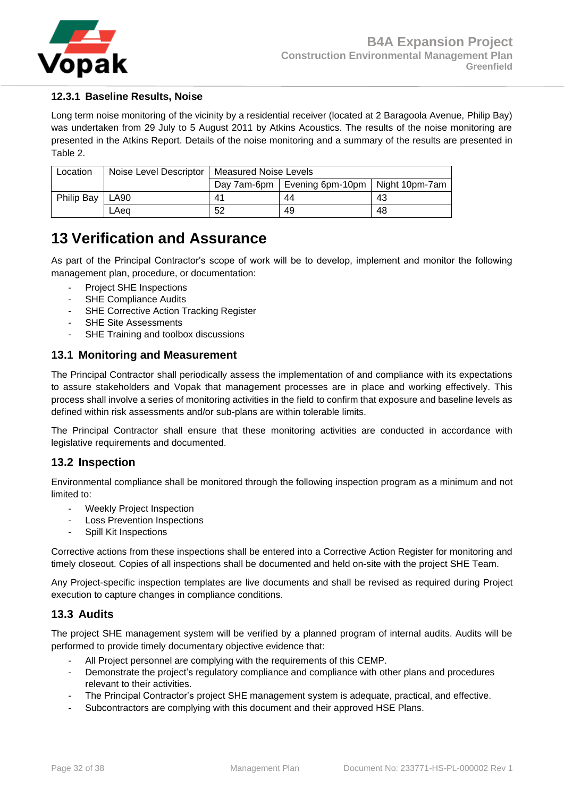

## <span id="page-31-0"></span>**12.3.1 Baseline Results, Noise**

Long term noise monitoring of the vicinity by a residential receiver (located at 2 Baragoola Avenue, Philip Bay) was undertaken from 29 July to 5 August 2011 by Atkins Acoustics. The results of the noise monitoring are presented in the Atkins Report. Details of the noise monitoring and a summary of the results are presented in Table 2.

| Location          |      | Noise Level Descriptor   Measured Noise Levels |                                                 |    |
|-------------------|------|------------------------------------------------|-------------------------------------------------|----|
|                   |      |                                                | Day 7am-6pm   Evening 6pm-10pm   Night 10pm-7am |    |
| <b>Philip Bay</b> | LA90 | 41                                             | 44                                              | 43 |
|                   | LAea | 52                                             | 49                                              | 48 |

# <span id="page-31-1"></span>**13 Verification and Assurance**

As part of the Principal Contractor's scope of work will be to develop, implement and monitor the following management plan, procedure, or documentation:

- Project SHE Inspections
- SHE Compliance Audits
- SHE Corrective Action Tracking Register
- SHE Site Assessments
- SHE Training and toolbox discussions

## <span id="page-31-2"></span>**13.1 Monitoring and Measurement**

The Principal Contractor shall periodically assess the implementation of and compliance with its expectations to assure stakeholders and Vopak that management processes are in place and working effectively. This process shall involve a series of monitoring activities in the field to confirm that exposure and baseline levels as defined within risk assessments and/or sub-plans are within tolerable limits.

The Principal Contractor shall ensure that these monitoring activities are conducted in accordance with legislative requirements and documented.

## <span id="page-31-3"></span>**13.2 Inspection**

Environmental compliance shall be monitored through the following inspection program as a minimum and not limited to:

- Weekly Project Inspection
- Loss Prevention Inspections
- Spill Kit Inspections

Corrective actions from these inspections shall be entered into a Corrective Action Register for monitoring and timely closeout. Copies of all inspections shall be documented and held on-site with the project SHE Team.

Any Project-specific inspection templates are live documents and shall be revised as required during Project execution to capture changes in compliance conditions.

## <span id="page-31-4"></span>**13.3 Audits**

The project SHE management system will be verified by a planned program of internal audits. Audits will be performed to provide timely documentary objective evidence that:

- All Project personnel are complying with the requirements of this CEMP.
- Demonstrate the project's regulatory compliance and compliance with other plans and procedures relevant to their activities.
- The Principal Contractor's project SHE management system is adequate, practical, and effective.
- Subcontractors are complying with this document and their approved HSE Plans.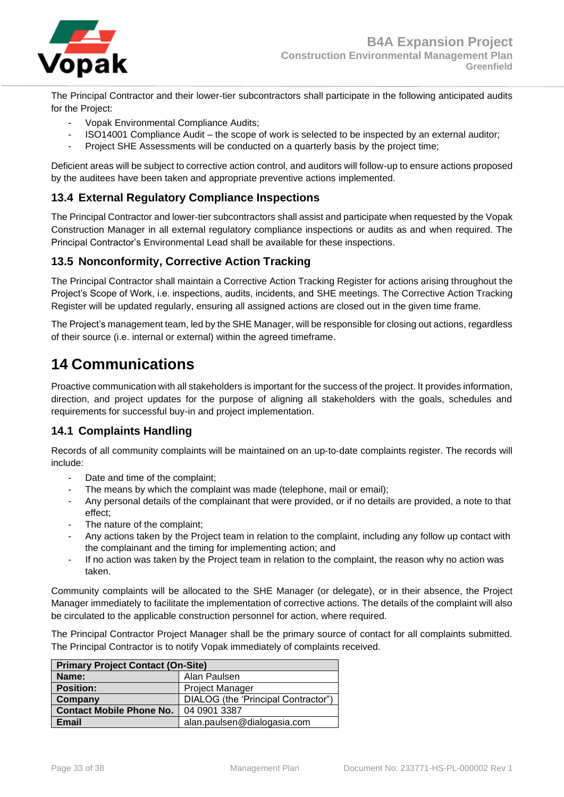

The Principal Contractor and their lower-tier subcontractors shall participate in the following anticipated audits for the Project:

- Vopak Environmental Compliance Audits;
- ISO14001 Compliance Audit the scope of work is selected to be inspected by an external auditor;
- Project SHE Assessments will be conducted on a quarterly basis by the project time;

Deficient areas will be subject to corrective action control, and auditors will follow-up to ensure actions proposed by the auditees have been taken and appropriate preventive actions implemented.

## <span id="page-32-0"></span>**13.4 External Regulatory Compliance Inspections**

The Principal Contractor and lower-tier subcontractors shall assist and participate when requested by the Vopak Construction Manager in all external regulatory compliance inspections or audits as and when required. The Principal Contractor's Environmental Lead shall be available for these inspections.

## <span id="page-32-1"></span>**13.5 Nonconformity, Corrective Action Tracking**

The Principal Contractor shall maintain a Corrective Action Tracking Register for actions arising throughout the Project's Scope of Work, i.e. inspections, audits, incidents, and SHE meetings. The Corrective Action Tracking Register will be updated regularly, ensuring all assigned actions are closed out in the given time frame.

The Project's management team, led by the SHE Manager, will be responsible for closing out actions, regardless of their source (i.e. internal or external) within the agreed timeframe.

# <span id="page-32-2"></span>**14 Communications**

Proactive communication with all stakeholders is important for the success of the project. It provides information, direction, and project updates for the purpose of aligning all stakeholders with the goals, schedules and requirements for successful buy-in and project implementation.

## <span id="page-32-3"></span>**14.1 Complaints Handling**

Records of all community complaints will be maintained on an up-to-date complaints register. The records will include:

- Date and time of the complaint;
- The means by which the complaint was made (telephone, mail or email);
- Any personal details of the complainant that were provided, or if no details are provided, a note to that effect;
- The nature of the complaint;
- Any actions taken by the Project team in relation to the complaint, including any follow up contact with the complainant and the timing for implementing action; and
- If no action was taken by the Project team in relation to the complaint, the reason why no action was taken.

Community complaints will be allocated to the SHE Manager (or delegate), or in their absence, the Project Manager immediately to facilitate the implementation of corrective actions. The details of the complaint will also be circulated to the applicable construction personnel for action, where required.

The Principal Contractor Project Manager shall be the primary source of contact for all complaints submitted. The Principal Contractor is to notify Vopak immediately of complaints received.

| <b>Primary Project Contact (On-Site)</b>       |                             |  |
|------------------------------------------------|-----------------------------|--|
| Name:                                          | Alan Paulsen                |  |
| <b>Position:</b>                               | <b>Project Manager</b>      |  |
| DIALOG (the 'Principal Contractor")<br>Company |                             |  |
| <b>Contact Mobile Phone No.</b>                | 04 0901 3387                |  |
| Email                                          | alan.paulsen@dialogasia.com |  |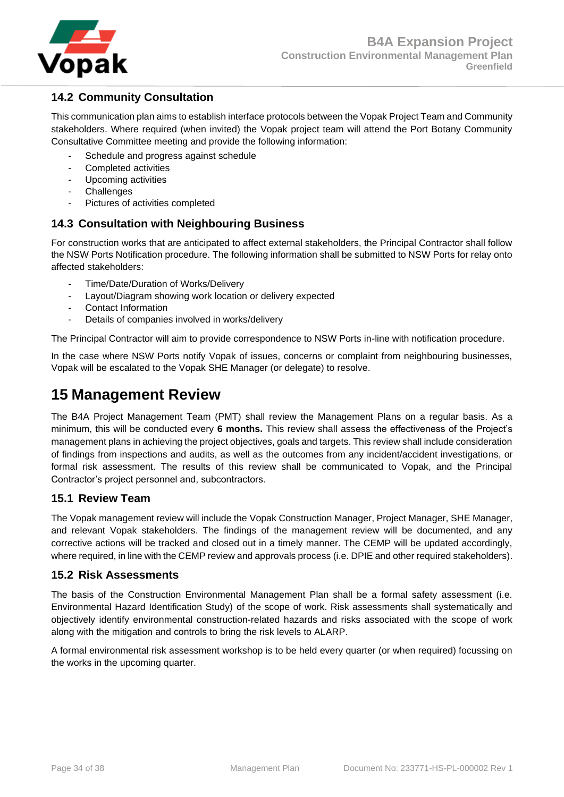

## <span id="page-33-0"></span>**14.2 Community Consultation**

This communication plan aims to establish interface protocols between the Vopak Project Team and Community stakeholders. Where required (when invited) the Vopak project team will attend the Port Botany Community Consultative Committee meeting and provide the following information:

- Schedule and progress against schedule
- Completed activities
- Upcoming activities
- **Challenges**
- Pictures of activities completed

## <span id="page-33-1"></span>**14.3 Consultation with Neighbouring Business**

For construction works that are anticipated to affect external stakeholders, the Principal Contractor shall follow the NSW Ports Notification procedure. The following information shall be submitted to NSW Ports for relay onto affected stakeholders:

- Time/Date/Duration of Works/Delivery
- Layout/Diagram showing work location or delivery expected
- Contact Information
- Details of companies involved in works/delivery

The Principal Contractor will aim to provide correspondence to NSW Ports in-line with notification procedure.

In the case where NSW Ports notify Vopak of issues, concerns or complaint from neighbouring businesses, Vopak will be escalated to the Vopak SHE Manager (or delegate) to resolve.

## <span id="page-33-2"></span>**15 Management Review**

The B4A Project Management Team (PMT) shall review the Management Plans on a regular basis. As a minimum, this will be conducted every **6 months.** This review shall assess the effectiveness of the Project's management plans in achieving the project objectives, goals and targets. This review shall include consideration of findings from inspections and audits, as well as the outcomes from any incident/accident investigations, or formal risk assessment. The results of this review shall be communicated to Vopak, and the Principal Contractor's project personnel and, subcontractors.

## <span id="page-33-3"></span>**15.1 Review Team**

The Vopak management review will include the Vopak Construction Manager, Project Manager, SHE Manager, and relevant Vopak stakeholders. The findings of the management review will be documented, and any corrective actions will be tracked and closed out in a timely manner. The CEMP will be updated accordingly, where required, in line with the CEMP review and approvals process (i.e. DPIE and other required stakeholders).

## <span id="page-33-4"></span>**15.2 Risk Assessments**

The basis of the Construction Environmental Management Plan shall be a formal safety assessment (i.e. Environmental Hazard Identification Study) of the scope of work. Risk assessments shall systematically and objectively identify environmental construction-related hazards and risks associated with the scope of work along with the mitigation and controls to bring the risk levels to ALARP.

A formal environmental risk assessment workshop is to be held every quarter (or when required) focussing on the works in the upcoming quarter.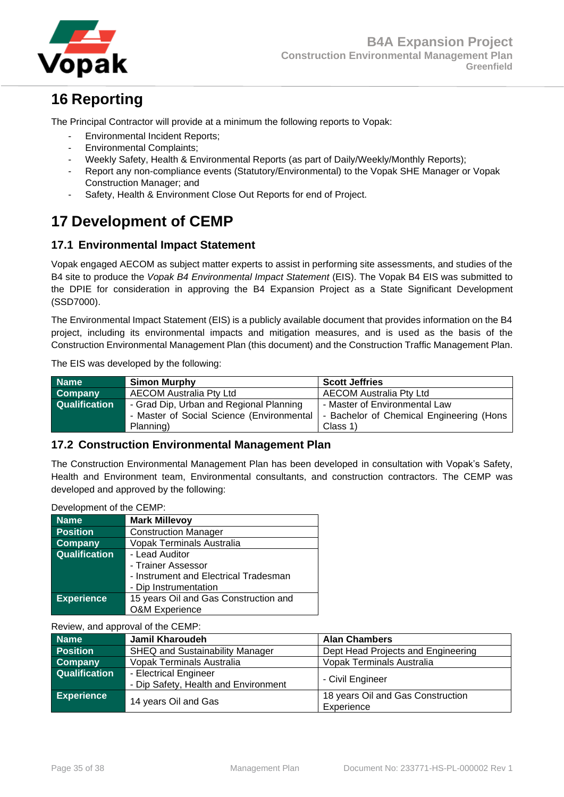

# <span id="page-34-0"></span>**16 Reporting**

The Principal Contractor will provide at a minimum the following reports to Vopak:

- Environmental Incident Reports;
- Environmental Complaints;
- Weekly Safety, Health & Environmental Reports (as part of Daily/Weekly/Monthly Reports);
- Report any non-compliance events (Statutory/Environmental) to the Vopak SHE Manager or Vopak Construction Manager; and
- Safety, Health & Environment Close Out Reports for end of Project.

# <span id="page-34-1"></span>**17 Development of CEMP**

## <span id="page-34-2"></span>**17.1 Environmental Impact Statement**

Vopak engaged AECOM as subject matter experts to assist in performing site assessments, and studies of the B4 site to produce the *Vopak B4 Environmental Impact Statement* (EIS). The Vopak B4 EIS was submitted to the DPIE for consideration in approving the B4 Expansion Project as a State Significant Development (SSD7000).

The Environmental Impact Statement (EIS) is a publicly available document that provides information on the B4 project, including its environmental impacts and mitigation measures, and is used as the basis of the Construction Environmental Management Plan (this document) and the Construction Traffic Management Plan.

The EIS was developed by the following:

| <b>Name</b>          | <b>Simon Murphy</b>                       | <b>Scott Jeffries</b>                    |
|----------------------|-------------------------------------------|------------------------------------------|
| <b>Company</b>       | <b>AECOM Australia Pty Ltd</b>            | <b>AECOM Australia Pty Ltd</b>           |
| <b>Qualification</b> | - Grad Dip, Urban and Regional Planning   | - Master of Environmental Law            |
|                      | - Master of Social Science (Environmental | - Bachelor of Chemical Engineering (Hons |
|                      | Planning)                                 | Class 1)                                 |

## <span id="page-34-3"></span>**17.2 Construction Environmental Management Plan**

The Construction Environmental Management Plan has been developed in consultation with Vopak's Safety, Health and Environment team, Environmental consultants, and construction contractors. The CEMP was developed and approved by the following:

| Development of the CEMP: |                                       |  |
|--------------------------|---------------------------------------|--|
| <b>Name</b>              | <b>Mark Millevoy</b>                  |  |
| <b>Position</b>          | <b>Construction Manager</b>           |  |
| <b>Company</b>           | <b>Vopak Terminals Australia</b>      |  |
| <b>Qualification</b>     | - Lead Auditor                        |  |
|                          | - Trainer Assessor                    |  |
|                          | - Instrument and Electrical Tradesman |  |
|                          | - Dip Instrumentation                 |  |

**Experience** 15 years Oil and Gas Construction and O&M Experience

|  |  | Review, and approval of the CEMP: |  |  |  |
|--|--|-----------------------------------|--|--|--|
|--|--|-----------------------------------|--|--|--|

| <b>Name</b>          | <b>Jamil Kharoudeh</b>                                        | <b>Alan Chambers</b>                            |
|----------------------|---------------------------------------------------------------|-------------------------------------------------|
| <b>Position</b>      | <b>SHEQ and Sustainability Manager</b>                        | Dept Head Projects and Engineering              |
| Company              | Vopak Terminals Australia                                     | Vopak Terminals Australia                       |
| <b>Qualification</b> | - Electrical Engineer<br>- Dip Safety, Health and Environment | - Civil Engineer                                |
| <b>Experience</b>    | 14 years Oil and Gas                                          | 18 years Oil and Gas Construction<br>Experience |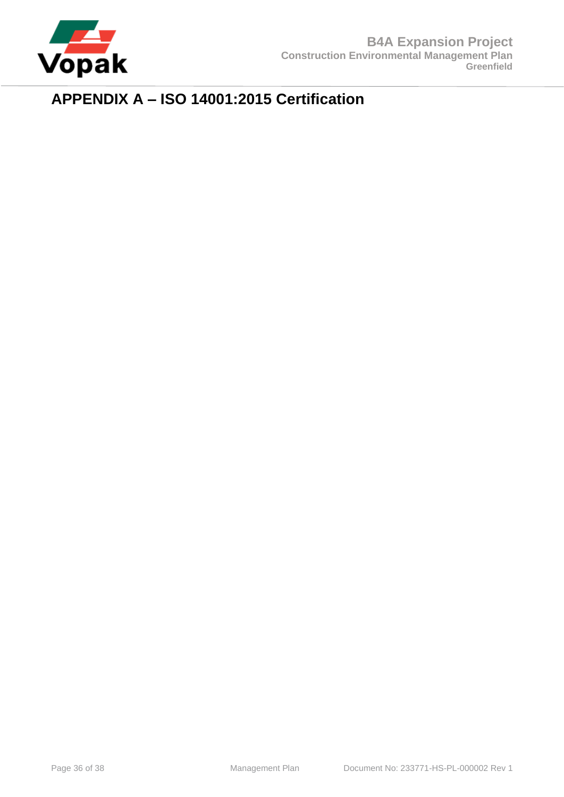

# <span id="page-35-0"></span>**APPENDIX A – ISO 14001:2015 Certification**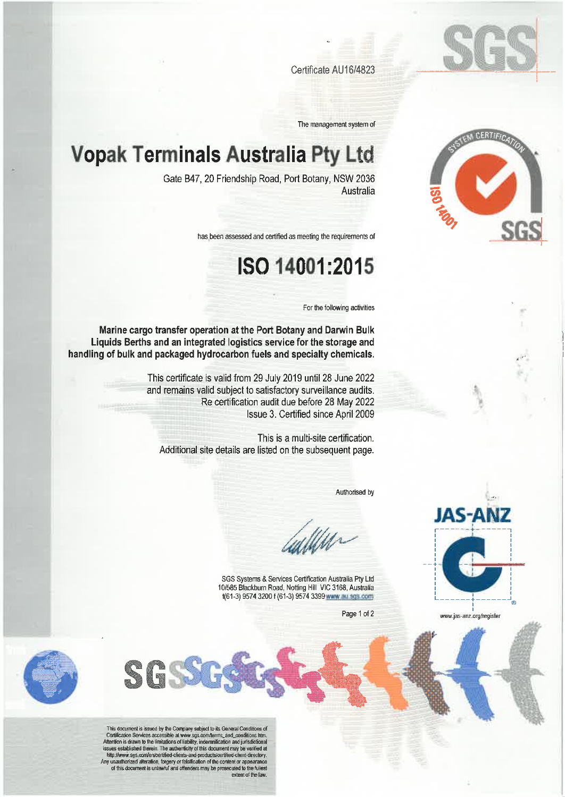

Certificate AU16/4823

The management system of

# **Vopak Terminals Australia Pty Ltd**

Gate B47, 20 Friendship Road, Port Botany, NSW 2036 Australia

has been assessed and certified as meeting the requirements of

# ISO 14001:2015

For the following activities

Marine cargo transfer operation at the Port Botany and Darwin Bulk Liquids Berths and an integrated logistics service for the storage and handling of bulk and packaged hydrocarbon fuels and specialty chemicals.

> This certificate is valid from 29 July 2019 until 28 June 2022 and remains valid subject to satisfactory surveillance audits. Re certification audit due before 28 May 2022 Issue 3. Certified since April 2009

This is a multi-site certification. Additional site details are listed on the subsequent page.

Authorised by

Ulle.

SGS Systems & Services Certification Australia Pty Ltd 10/585 Blackburn Road, Notting Hill VIC 3168, Australia 1(61-3) 9574 3200 f (61-3) 9574 3399 www.au sgs.com

Page 1 of 2



This document is issued by the Company subject to its General Conditions of<br>Certification Services accessible at www.sgs.com/terms\_and\_conditions.htm.<br>Attention is drawn to the limitations of liability, indemnification and Any unauthorized alteration, forgery or falsification of the content or appearance of this document is unlawful and offenders may be prosecuted to the fullest extent of the law





www.jas-anz.org/register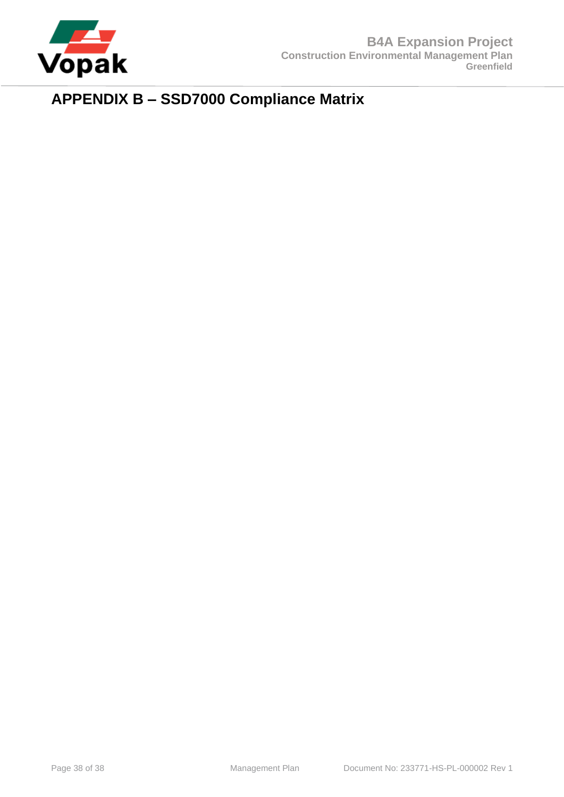

# <span id="page-37-0"></span>**APPENDIX B – SSD7000 Compliance Matrix**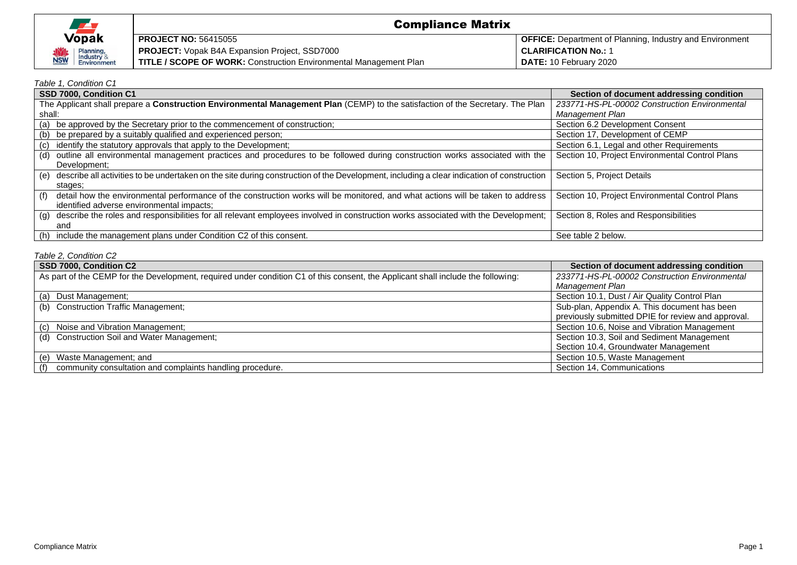| <b>Vopak</b>                           |
|----------------------------------------|
| Planning,<br>Industry &<br>Environment |

#### Compliance Matrix **PROJECT NO:** 56415055 **PROJECT:** Vopak B4A Expansion Project, SSD7000 **TITLE / SCOPE OF WORK:** Construction Environmental Management Plan **OFFICE:** Department of Planning, Industry and Environment **CLARIFICATION No.:** 1 **DATE:** 10 February 2020

#### *Table 1, Condition C1*

| SSD 7000, Condition C1                                                                                                                           | Section of document addressing condition        |
|--------------------------------------------------------------------------------------------------------------------------------------------------|-------------------------------------------------|
| The Applicant shall prepare a Construction Environmental Management Plan (CEMP) to the satisfaction of the Secretary. The Plan                   | 233771-HS-PL-00002 Construction Environmental   |
| shall:                                                                                                                                           | Management Plan                                 |
| (a) be approved by the Secretary prior to the commencement of construction;                                                                      | Section 6.2 Development Consent                 |
| (b) be prepared by a suitably qualified and experienced person;                                                                                  | Section 17, Development of CEMP                 |
| (c) identify the statutory approvals that apply to the Development;                                                                              | Section 6.1, Legal and other Requirements       |
| outline all environmental management practices and procedures to be followed during construction works associated with the<br>(d)                | Section 10, Project Environmental Control Plans |
| Development;                                                                                                                                     |                                                 |
| describe all activities to be undertaken on the site during construction of the Development, including a clear indication of construction<br>(e) | Section 5, Project Details                      |
| stages:                                                                                                                                          |                                                 |
| detail how the environmental performance of the construction works will be monitored, and what actions will be taken to address<br>(f)           | Section 10, Project Environmental Control Plans |
| identified adverse environmental impacts;                                                                                                        |                                                 |
| (g) describe the roles and responsibilities for all relevant employees involved in construction works associated with the Development;           | Section 8, Roles and Responsibilities           |
| and                                                                                                                                              |                                                 |
| (h) include the management plans under Condition C2 of this consent.                                                                             | See table 2 below.                              |

#### *Table 2, Condition C2*

| SSD 7000, Condition C2                                                                                                           | Section of document addressing condition           |
|----------------------------------------------------------------------------------------------------------------------------------|----------------------------------------------------|
| As part of the CEMP for the Development, required under condition C1 of this consent, the Applicant shall include the following: | 233771-HS-PL-00002 Construction Environmental      |
|                                                                                                                                  | Management Plan                                    |
| (a) Dust Management;                                                                                                             | Section 10.1, Dust / Air Quality Control Plan      |
| (b) Construction Traffic Management;                                                                                             | Sub-plan, Appendix A. This document has been       |
|                                                                                                                                  | previously submitted DPIE for review and approval. |
| (c) Noise and Vibration Management;                                                                                              | Section 10.6, Noise and Vibration Management       |
| (d) Construction Soil and Water Management;                                                                                      | Section 10.3, Soil and Sediment Management         |
|                                                                                                                                  | Section 10.4, Groundwater Management               |
| (e) Waste Management; and                                                                                                        | Section 10.5, Waste Management                     |
| community consultation and complaints handling procedure.<br>(t)                                                                 | Section 14. Communications                         |